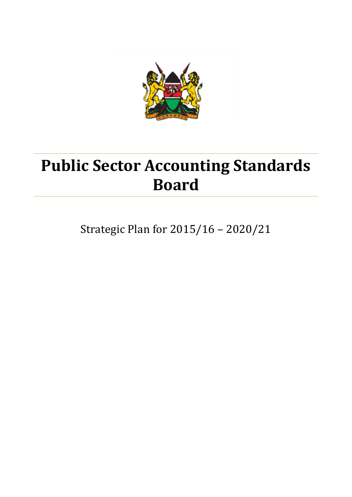

# **Public Sector Accounting Standards Board**

Strategic Plan for 2015/16 – 2020/21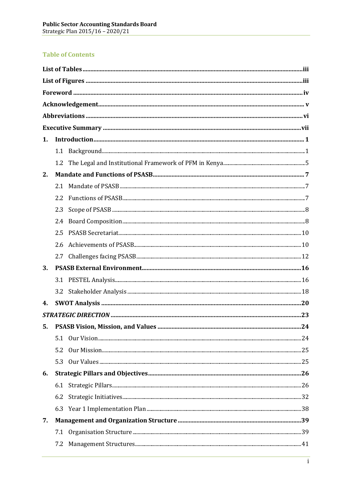# **Table of Contents**

| 1. |                  |  |    |  |
|----|------------------|--|----|--|
|    |                  |  |    |  |
|    | $1.2\phantom{0}$ |  |    |  |
| 2. |                  |  |    |  |
|    | 2.1              |  |    |  |
|    | 2.2              |  |    |  |
|    | 2.3              |  |    |  |
|    | 2.4              |  |    |  |
|    | 2.5              |  |    |  |
|    | 2.6              |  |    |  |
|    |                  |  |    |  |
| 3. |                  |  |    |  |
|    |                  |  |    |  |
|    |                  |  |    |  |
| 4. |                  |  |    |  |
|    |                  |  |    |  |
|    |                  |  | 24 |  |
|    |                  |  |    |  |
|    | 5.2              |  |    |  |
|    | 5.3              |  |    |  |
| 6. |                  |  |    |  |
|    |                  |  |    |  |
|    | 6.2              |  |    |  |
|    |                  |  |    |  |
| 7. |                  |  |    |  |
|    | 7.1              |  |    |  |
|    | 7.2              |  |    |  |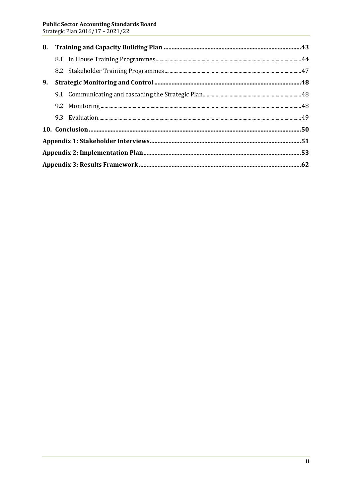| 8. |  |  |  |  |
|----|--|--|--|--|
|    |  |  |  |  |
|    |  |  |  |  |
| 9. |  |  |  |  |
|    |  |  |  |  |
|    |  |  |  |  |
|    |  |  |  |  |
|    |  |  |  |  |
|    |  |  |  |  |
|    |  |  |  |  |
|    |  |  |  |  |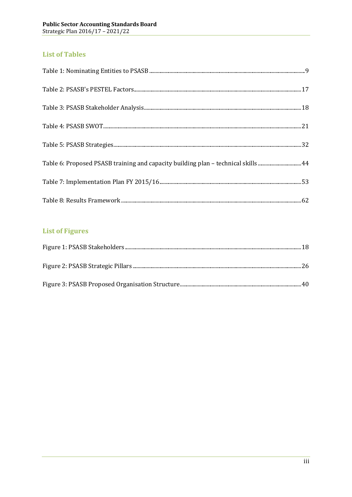# **List of Tables**

| Table 6: Proposed PSASB training and capacity building plan - technical skills 44 |  |
|-----------------------------------------------------------------------------------|--|
|                                                                                   |  |
|                                                                                   |  |

# **List of Figures**

<span id="page-3-1"></span><span id="page-3-0"></span>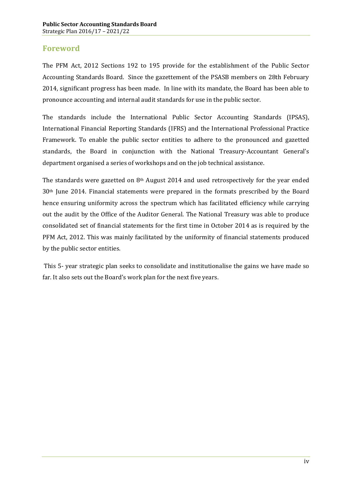# **Foreword**

The PFM Act, 2012 Sections 192 to 195 provide for the establishment of the Public Sector Accounting Standards Board. Since the gazettement of the PSASB members on 28th February 2014, significant progress has been made. In line with its mandate, the Board has been able to pronounce accounting and internal audit standards for use in the public sector.

The standards include the International Public Sector Accounting Standards (IPSAS), International Financial Reporting Standards (IFRS) and the International Professional Practice Framework. To enable the public sector entities to adhere to the pronounced and gazetted standards, the Board in conjunction with the National Treasury-Accountant General's department organised a series of workshops and on the job technical assistance.

The standards were gazetted on 8th August 2014 and used retrospectively for the year ended 30th June 2014. Financial statements were prepared in the formats prescribed by the Board hence ensuring uniformity across the spectrum which has facilitated efficiency while carrying out the audit by the Office of the Auditor General. The National Treasury was able to produce consolidated set of financial statements for the first time in October 2014 as is required by the PFM Act, 2012. This was mainly facilitated by the uniformity of financial statements produced by the public sector entities.

<span id="page-4-0"></span>This 5- year strategic plan seeks to consolidate and institutionalise the gains we have made so far. It also sets out the Board's work plan for the next five years.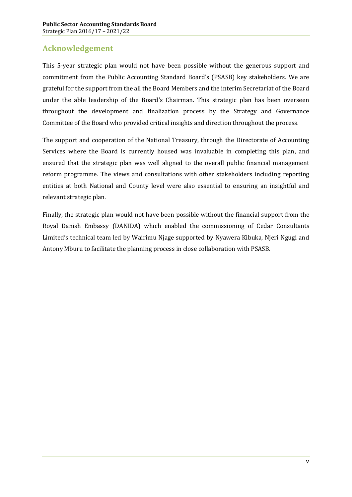# **Acknowledgement**

This 5-year strategic plan would not have been possible without the generous support and commitment from the Public Accounting Standard Board's (PSASB) key stakeholders. We are grateful for the support from the all the Board Members and the interim Secretariat of the Board under the able leadership of the Board's Chairman. This strategic plan has been overseen throughout the development and finalization process by the Strategy and Governance Committee of the Board who provided critical insights and direction throughout the process.

The support and cooperation of the National Treasury, through the Directorate of Accounting Services where the Board is currently housed was invaluable in completing this plan, and ensured that the strategic plan was well aligned to the overall public financial management reform programme. The views and consultations with other stakeholders including reporting entities at both National and County level were also essential to ensuring an insightful and relevant strategic plan.

<span id="page-5-0"></span>Finally, the strategic plan would not have been possible without the financial support from the Royal Danish Embassy (DANIDA) which enabled the commissioning of Cedar Consultants Limited's technical team led by Wairimu Njage supported by Nyawera Kibuka, Njeri Ngugi and Antony Mburu to facilitate the planning process in close collaboration with PSASB.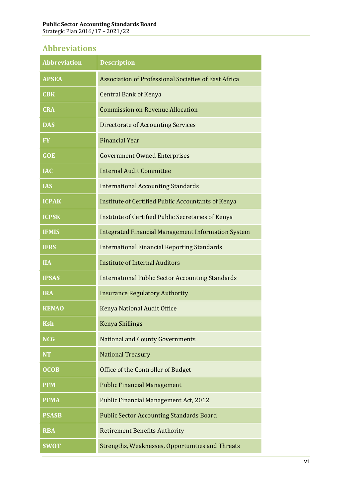# **Abbreviations**

<span id="page-6-0"></span>

| <b>Abbreviation</b> | <b>Description</b>                                        |  |  |  |
|---------------------|-----------------------------------------------------------|--|--|--|
| <b>APSEA</b>        | Association of Professional Societies of East Africa      |  |  |  |
| <b>CBK</b>          | <b>Central Bank of Kenya</b>                              |  |  |  |
| <b>CRA</b>          | <b>Commission on Revenue Allocation</b>                   |  |  |  |
| <b>DAS</b>          | <b>Directorate of Accounting Services</b>                 |  |  |  |
| <b>FY</b>           | <b>Financial Year</b>                                     |  |  |  |
| <b>GOE</b>          | <b>Government Owned Enterprises</b>                       |  |  |  |
| <b>IAC</b>          | <b>Internal Audit Committee</b>                           |  |  |  |
| <b>IAS</b>          | <b>International Accounting Standards</b>                 |  |  |  |
| <b>ICPAK</b>        | <b>Institute of Certified Public Accountants of Kenya</b> |  |  |  |
| <b>ICPSK</b>        | Institute of Certified Public Secretaries of Kenya        |  |  |  |
| <b>IFMIS</b>        | <b>Integrated Financial Management Information System</b> |  |  |  |
| <b>IFRS</b>         | <b>International Financial Reporting Standards</b>        |  |  |  |
| <b>IIA</b>          | <b>Institute of Internal Auditors</b>                     |  |  |  |
| <b>IPSAS</b>        | <b>International Public Sector Accounting Standards</b>   |  |  |  |
| <b>IRA</b>          | <b>Insurance Regulatory Authority</b>                     |  |  |  |
| <b>KENAO</b>        | Kenya National Audit Office                               |  |  |  |
| <b>Ksh</b>          | <b>Kenya Shillings</b>                                    |  |  |  |
| <b>NCG</b>          | <b>National and County Governments</b>                    |  |  |  |
| <b>NT</b>           | <b>National Treasury</b>                                  |  |  |  |
| <b>OCOB</b>         | Office of the Controller of Budget                        |  |  |  |
| <b>PFM</b>          | <b>Public Financial Management</b>                        |  |  |  |
| <b>PFMA</b>         | Public Financial Management Act, 2012                     |  |  |  |
| <b>PSASB</b>        | <b>Public Sector Accounting Standards Board</b>           |  |  |  |
| <b>RBA</b>          | <b>Retirement Benefits Authority</b>                      |  |  |  |
| <b>SWOT</b>         | Strengths, Weaknesses, Opportunities and Threats          |  |  |  |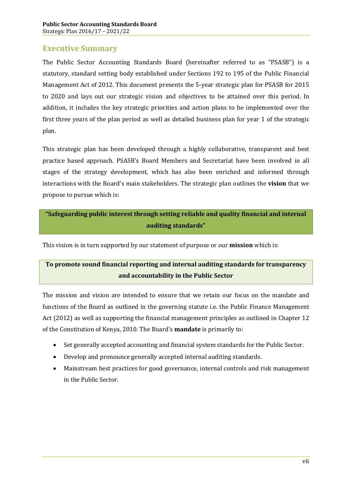# **Executive Summary**

The Public Sector Accounting Standards Board (hereinafter referred to as "PSASB") is a statutory, standard setting body established under Sections 192 to 195 of the Public Financial Management Act of 2012. This document presents the 5-year strategic plan for PSASB for 2015 to 2020 and lays out our strategic vision and objectives to be attained over this period. In addition, it includes the key strategic priorities and action plans to be implemented over the first three years of the plan period as well as detailed business plan for year 1 of the strategic plan.

This strategic plan has been developed through a highly collaborative, transparent and best practice based approach. PSASB's Board Members and Secretariat have been involved in all stages of the strategy development, which has also been enriched and informed through interactions with the Board's main stakeholders. The strategic plan outlines the **vision** that we propose to pursue which is:

# **"Safeguarding public interest through setting reliable and quality financial and internal auditing standards"**

This vision is in turn supported by our statement of purpose or our **mission** which is:

# **To promote sound financial reporting and internal auditing standards for transparency and accountability in the Public Sector**

The mission and vision are intended to ensure that we retain our focus on the mandate and functions of the Board as outlined in the governing statute i.e. the Public Finance Management Act (2012) as well as supporting the financial management principles as outlined in Chapter 12 of the Constitution of Kenya, 2010. The Board's **mandate** is primarily to:

- · Set generally accepted accounting and financial system standards for the Public Sector.
- · Develop and pronounce generally accepted internal auditing standards.
- <span id="page-7-0"></span>· Mainstream best practices for good governance, internal controls and risk management in the Public Sector.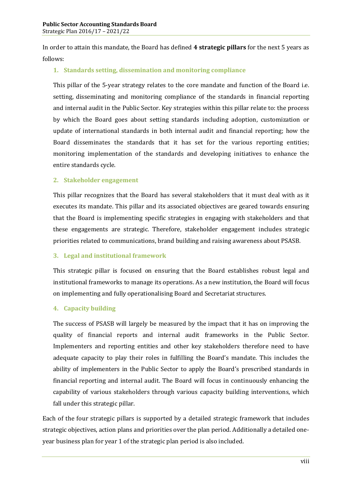In order to attain this mandate, the Board has defined **4 strategic pillars** for the next 5 years as follows:

#### **1. Standards setting, dissemination and monitoring compliance**

This pillar of the 5-year strategy relates to the core mandate and function of the Board i.e. setting, disseminating and monitoring compliance of the standards in financial reporting and internal audit in the Public Sector. Key strategies within this pillar relate to: the process by which the Board goes about setting standards including adoption, customization or update of international standards in both internal audit and financial reporting; how the Board disseminates the standards that it has set for the various reporting entities; monitoring implementation of the standards and developing initiatives to enhance the entire standards cycle.

#### **2. Stakeholder engagement**

This pillar recognizes that the Board has several stakeholders that it must deal with as it executes its mandate. This pillar and its associated objectives are geared towards ensuring that the Board is implementing specific strategies in engaging with stakeholders and that these engagements are strategic. Therefore, stakeholder engagement includes strategic priorities related to communications, brand building and raising awareness about PSASB.

#### **3. Legal and institutional framework**

This strategic pillar is focused on ensuring that the Board establishes robust legal and institutional frameworks to manage its operations. As a new institution, the Board will focus on implementing and fully operationalising Board and Secretariat structures.

#### **4. Capacity building**

The success of PSASB will largely be measured by the impact that it has on improving the quality of financial reports and internal audit frameworks in the Public Sector. Implementers and reporting entities and other key stakeholders therefore need to have adequate capacity to play their roles in fulfilling the Board's mandate. This includes the ability of implementers in the Public Sector to apply the Board's prescribed standards in financial reporting and internal audit. The Board will focus in continuously enhancing the capability of various stakeholders through various capacity building interventions, which fall under this strategic pillar.

Each of the four strategic pillars is supported by a detailed strategic framework that includes strategic objectives, action plans and priorities over the plan period. Additionally a detailed oneyear business plan for year 1 of the strategic plan period is also included.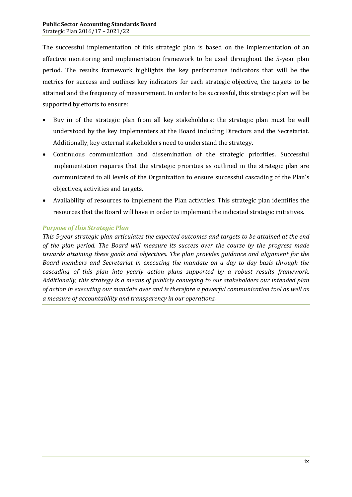The successful implementation of this strategic plan is based on the implementation of an effective monitoring and implementation framework to be used throughout the 5-year plan period. The results framework highlights the key performance indicators that will be the metrics for success and outlines key indicators for each strategic objective, the targets to be attained and the frequency of measurement. In order to be successful, this strategic plan will be supported by efforts to ensure:

- Buy in of the strategic plan from all key stakeholders: the strategic plan must be well understood by the key implementers at the Board including Directors and the Secretariat. Additionally, key external stakeholders need to understand the strategy.
- · Continuous communication and dissemination of the strategic priorities. Successful implementation requires that the strategic priorities as outlined in the strategic plan are communicated to all levels of the Organization to ensure successful cascading of the Plan's objectives, activities and targets.
- · Availability of resources to implement the Plan activities: This strategic plan identifies the resources that the Board will have in order to implement the indicated strategic initiatives.

#### *Purpose of this Strategic Plan*

*This 5-year strategic plan articulates the expected outcomes and targets to be attained at the end of the plan period. The Board will measure its success over the course by the progress made towards attaining these goals and objectives. The plan provides guidance and alignment for the Board members and Secretariat in executing the mandate on a day to day basis through the cascading of this plan into yearly action plans supported by a robust results framework. Additionally, this strategy is a means of publicly conveying to our stakeholders our intended plan of action in executing our mandate over and is therefore a powerful communication tool as well as a measure of accountability and transparency in our operations.*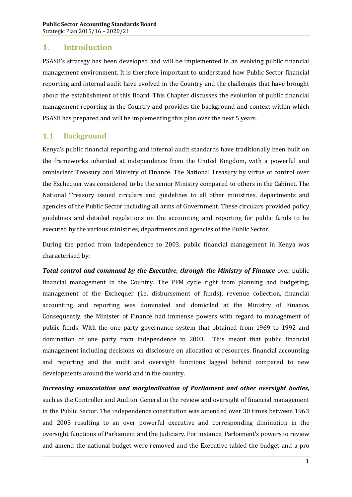#### **1. Introduction**

PSASB's strategy has been developed and will be implemented in an evolving public financial management environment. It is therefore important to understand how Public Sector financial reporting and internal audit have evolved in the Country and the challenges that have brought about the establishment of this Board. This Chapter discusses the evolution of public financial management reporting in the Country and provides the background and context within which PSASB has prepared and will be implementing this plan over the next 5 years.

#### **1.1 Background**

Kenya's public financial reporting and internal audit standards have traditionally been built on the frameworks inherited at independence from the United Kingdom, with a powerful and omniscient Treasury and Ministry of Finance. The National Treasury by virtue of control over the Exchequer was considered to be the senior Ministry compared to others in the Cabinet. The National Treasury issued circulars and guidelines to all other ministries, departments and agencies of the Public Sector including all arms of Government. These circulars provided policy guidelines and detailed regulations on the accounting and reporting for public funds to be executed by the various ministries, departments and agencies of the Public Sector.

During the period from independence to 2003, public financial management in Kenya was characterised by:

*Total control and command by the Executive, through the Ministry of Finance* over public financial management in the Country. The PFM cycle right from planning and budgeting, management of the Exchequer (i.e. disbursement of funds), revenue collection, financial accounting and reporting was dominated and domiciled at the Ministry of Finance. Consequently, the Minister of Finance had immense powers with regard to management of public funds. With the one party governance system that obtained from 1969 to 1992 and domination of one party from independence to 2003. This meant that public financial management including decisions on disclosure on allocation of resources, financial accounting and reporting and the audit and oversight functions lagged behind compared to new developments around the world and in the country.

<span id="page-10-1"></span><span id="page-10-0"></span>*Increasing emasculation and marginalisation of Parliament and other oversight bodies,*  such as the Controller and Auditor General in the review and oversight of financial management in the Public Sector. The independence constitution was amended over 30 times between 1963 and 2003 resulting to an over powerful executive and corresponding diminution in the oversight functions of Parliament and the Judiciary. For instance, Parliament's powers to review and amend the national budget were removed and the Executive tabled the budget and a pro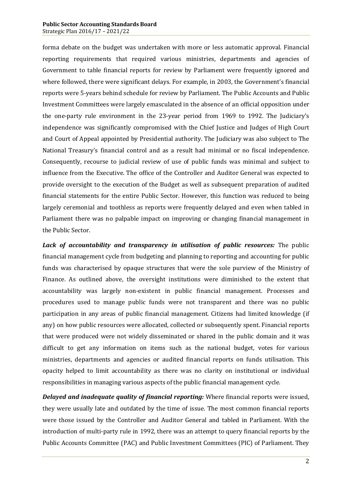#### **Public Sector Accounting Standards Board** Strategic Plan 2016/17 – 2021/22

forma debate on the budget was undertaken with more or less automatic approval. Financial reporting requirements that required various ministries, departments and agencies of Government to table financial reports for review by Parliament were frequently ignored and where followed, there were significant delays. For example, in 2003, the Government's financial reports were 5-years behind schedule for review by Parliament. The Public Accounts and Public Investment Committees were largely emasculated in the absence of an official opposition under the one-party rule environment in the 23-year period from 1969 to 1992. The Judiciary's independence was significantly compromised with the Chief Justice and Judges of High Court and Court of Appeal appointed by Presidential authority. The Judiciary was also subject to The National Treasury's financial control and as a result had minimal or no fiscal independence. Consequently, recourse to judicial review of use of public funds was minimal and subject to influence from the Executive. The office of the Controller and Auditor General was expected to provide oversight to the execution of the Budget as well as subsequent preparation of audited financial statements for the entire Public Sector. However, this function was reduced to being largely ceremonial and toothless as reports were frequently delayed and even when tabled in Parliament there was no palpable impact on improving or changing financial management in the Public Sector.

*Lack of accountability and transparency in utilisation of public resources:* The public financial management cycle from budgeting and planning to reporting and accounting for public funds was characterised by opaque structures that were the sole purview of the Ministry of Finance. As outlined above, the oversight institutions were diminished to the extent that accountability was largely non-existent in public financial management. Processes and procedures used to manage public funds were not transparent and there was no public participation in any areas of public financial management. Citizens had limited knowledge (if any) on how public resources were allocated, collected or subsequently spent. Financial reports that were produced were not widely disseminated or shared in the public domain and it was difficult to get any information on items such as the national budget, votes for various ministries, departments and agencies or audited financial reports on funds utilisation. This opacity helped to limit accountability as there was no clarity on institutional or individual responsibilities in managing various aspects of the public financial management cycle.

*Delayed and inadequate quality of financial reporting:* Where financial reports were issued, they were usually late and outdated by the time of issue. The most common financial reports were those issued by the Controller and Auditor General and tabled in Parliament. With the introduction of multi-party rule in 1992, there was an attempt to query financial reports by the Public Accounts Committee (PAC) and Public Investment Committees (PIC) of Parliament. They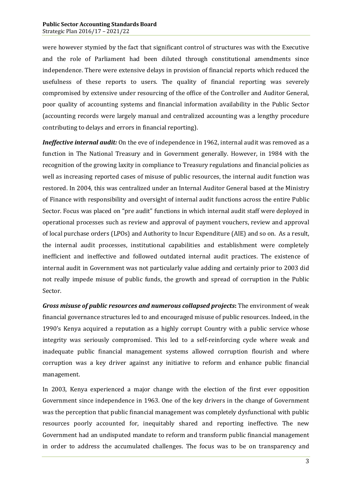were however stymied by the fact that significant control of structures was with the Executive and the role of Parliament had been diluted through constitutional amendments since independence. There were extensive delays in provision of financial reports which reduced the usefulness of these reports to users. The quality of financial reporting was severely compromised by extensive under resourcing of the office of the Controller and Auditor General, poor quality of accounting systems and financial information availability in the Public Sector (accounting records were largely manual and centralized accounting was a lengthy procedure contributing to delays and errors in financial reporting).

*Ineffective internal audit:* On the eve of independence in 1962, internal audit was removed as a function in The National Treasury and in Government generally. However, in 1984 with the recognition of the growing laxity in compliance to Treasury regulations and financial policies as well as increasing reported cases of misuse of public resources, the internal audit function was restored. In 2004, this was centralized under an Internal Auditor General based at the Ministry of Finance with responsibility and oversight of internal audit functions across the entire Public Sector. Focus was placed on "pre audit" functions in which internal audit staff were deployed in operational processes such as review and approval of payment vouchers, review and approval of local purchase orders (LPOs) and Authority to Incur Expenditure (AIE) and so on. As a result, the internal audit processes, institutional capabilities and establishment were completely inefficient and ineffective and followed outdated internal audit practices. The existence of internal audit in Government was not particularly value adding and certainly prior to 2003 did not really impede misuse of public funds, the growth and spread of corruption in the Public Sector.

*Gross misuse of public resources and numerous collapsed projects***:** The environment of weak financial governance structures led to and encouraged misuse of public resources. Indeed, in the 1990's Kenya acquired a reputation as a highly corrupt Country with a public service whose integrity was seriously compromised. This led to a self-reinforcing cycle where weak and inadequate public financial management systems allowed corruption flourish and where corruption was a key driver against any initiative to reform and enhance public financial management.

In 2003, Kenya experienced a major change with the election of the first ever opposition Government since independence in 1963. One of the key drivers in the change of Government was the perception that public financial management was completely dysfunctional with public resources poorly accounted for, inequitably shared and reporting ineffective. The new Government had an undisputed mandate to reform and transform public financial management in order to address the accumulated challenges. The focus was to be on transparency and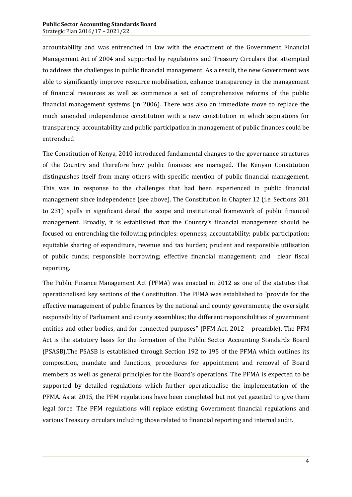accountability and was entrenched in law with the enactment of the Government Financial Management Act of 2004 and supported by regulations and Treasury Circulars that attempted to address the challenges in public financial management. As a result, the new Government was able to significantly improve resource mobilisation, enhance transparency in the management of financial resources as well as commence a set of comprehensive reforms of the public financial management systems (in 2006). There was also an immediate move to replace the much amended independence constitution with a new constitution in which aspirations for transparency, accountability and public participation in management of public finances could be entrenched.

The Constitution of Kenya, 2010 introduced fundamental changes to the governance structures of the Country and therefore how public finances are managed. The Kenyan Constitution distinguishes itself from many others with specific mention of public financial management. This was in response to the challenges that had been experienced in public financial management since independence (see above). The Constitution in Chapter 12 (i.e. Sections 201 to 231) spells in significant detail the scope and institutional framework of public financial management. Broadly, it is established that the Country's financial management should be focused on entrenching the following principles: openness; accountability; public participation; equitable sharing of expenditure, revenue and tax burden; prudent and responsible utilisation of public funds; responsible borrowing; effective financial management; and clear fiscal reporting.

The Public Finance Management Act (PFMA) was enacted in 2012 as one of the statutes that operationalised key sections of the Constitution. The PFMA was established to "provide for the effective management of public finances by the national and county governments; the oversight responsibility of Parliament and county assemblies; the different responsibilities of government entities and other bodies, and for connected purposes" (PFM Act, 2012 – preamble). The PFM Act is the statutory basis for the formation of the Public Sector Accounting Standards Board (PSASB).The PSASB is established through Section 192 to 195 of the PFMA which outlines its composition, mandate and functions, procedures for appointment and removal of Board members as well as general principles for the Board's operations. The PFMA is expected to be supported by detailed regulations which further operationalise the implementation of the PFMA. As at 2015, the PFM regulations have been completed but not yet gazetted to give them legal force. The PFM regulations will replace existing Government financial regulations and various Treasury circulars including those related to financial reporting and internal audit.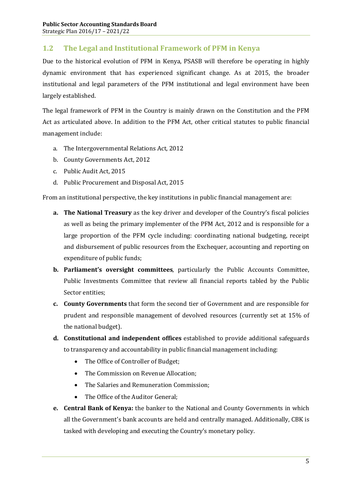# **1.2 The Legal and Institutional Framework of PFM in Kenya**

Due to the historical evolution of PFM in Kenya, PSASB will therefore be operating in highly dynamic environment that has experienced significant change. As at 2015, the broader institutional and legal parameters of the PFM institutional and legal environment have been largely established.

The legal framework of PFM in the Country is mainly drawn on the Constitution and the PFM Act as articulated above. In addition to the PFM Act, other critical statutes to public financial management include:

- a. The Intergovernmental Relations Act, 2012
- b. County Governments Act, 2012
- c. Public Audit Act, 2015
- d. Public Procurement and Disposal Act, 2015

From an institutional perspective, the key institutions in public financial management are:

- **a. The National Treasury** as the key driver and developer of the Country's fiscal policies as well as being the primary implementer of the PFM Act, 2012 and is responsible for a large proportion of the PFM cycle including: coordinating national budgeting, receipt and disbursement of public resources from the Exchequer, accounting and reporting on expenditure of public funds;
- **b. Parliament's oversight committees**, particularly the Public Accounts Committee, Public Investments Committee that review all financial reports tabled by the Public Sector entities;
- **c. County Governments** that form the second tier of Government and are responsible for prudent and responsible management of devolved resources (currently set at 15% of the national budget).
- **d. Constitutional and independent offices** established to provide additional safeguards to transparency and accountability in public financial management including:
	- The Office of Controller of Budget;
	- · The Commission on Revenue Allocation;
	- · The Salaries and Remuneration Commission;
	- · The Office of the Auditor General;
- <span id="page-14-0"></span>**e. Central Bank of Kenya:** the banker to the National and County Governments in which all the Government's bank accounts are held and centrally managed. Additionally, CBK is tasked with developing and executing the Country's monetary policy.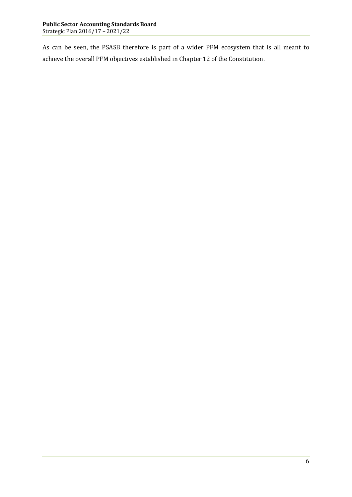As can be seen, the PSASB therefore is part of a wider PFM ecosystem that is all meant to achieve the overall PFM objectives established in Chapter 12 of the Constitution.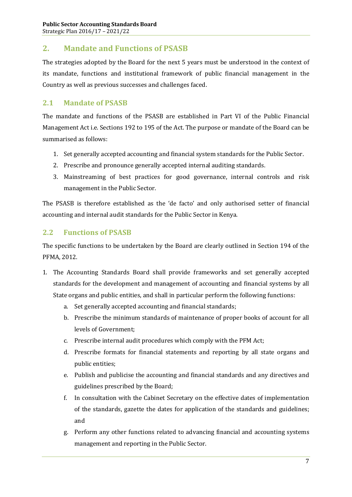# **2. Mandate and Functions of PSASB**

The strategies adopted by the Board for the next 5 years must be understood in the context of its mandate, functions and institutional framework of public financial management in the Country as well as previous successes and challenges faced.

#### **2.1 Mandate of PSASB**

The mandate and functions of the PSASB are established in Part VI of the Public Financial Management Act i.e. Sections 192 to 195 of the Act. The purpose or mandate of the Board can be summarised as follows:

- 1. Set generally accepted accounting and financial system standards for the Public Sector.
- 2. Prescribe and pronounce generally accepted internal auditing standards.
- 3. Mainstreaming of best practices for good governance, internal controls and risk management in the Public Sector.

The PSASB is therefore established as the 'de facto' and only authorised setter of financial accounting and internal audit standards for the Public Sector in Kenya.

#### **2.2 Functions of PSASB**

The specific functions to be undertaken by the Board are clearly outlined in Section 194 of the PFMA, 2012.

- <span id="page-16-2"></span><span id="page-16-1"></span><span id="page-16-0"></span>1. The Accounting Standards Board shall provide frameworks and set generally accepted standards for the development and management of accounting and financial systems by all State organs and public entities, and shall in particular perform the following functions:
	- a. Set generally accepted accounting and financial standards;
	- b. Prescribe the minimum standards of maintenance of proper books of account for all levels of Government;
	- c. Prescribe internal audit procedures which comply with the PFM Act;
	- d. Prescribe formats for financial statements and reporting by all state organs and public entities;
	- e. Publish and publicise the accounting and financial standards and any directives and guidelines prescribed by the Board;
	- f. In consultation with the Cabinet Secretary on the effective dates of implementation of the standards, gazette the dates for application of the standards and guidelines; and
	- g. Perform any other functions related to advancing financial and accounting systems management and reporting in the Public Sector.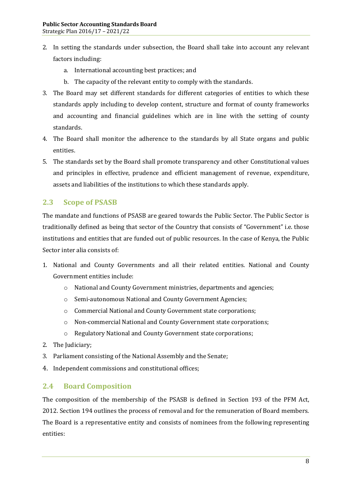- 2. In setting the standards under subsection, the Board shall take into account any relevant factors including:
	- a. International accounting best practices; and
	- b. The capacity of the relevant entity to comply with the standards.
- 3. The Board may set different standards for different categories of entities to which these standards apply including to develop content, structure and format of county frameworks and accounting and financial guidelines which are in line with the setting of county standards.
- 4. The Board shall monitor the adherence to the standards by all State organs and public entities.
- 5. The standards set by the Board shall promote transparency and other Constitutional values and principles in effective, prudence and efficient management of revenue, expenditure, assets and liabilities of the institutions to which these standards apply.

#### **2.3 Scope of PSASB**

The mandate and functions of PSASB are geared towards the Public Sector. The Public Sector is traditionally defined as being that sector of the Country that consists of "Government" i.e. those institutions and entities that are funded out of public resources. In the case of Kenya, the Public Sector inter alia consists of:

- 1. National and County Governments and all their related entities. National and County Government entities include:
	- o National and County Government ministries, departments and agencies;
	- o Semi-autonomous National and County Government Agencies;
	- o Commercial National and County Government state corporations;
	- o Non-commercial National and County Government state corporations;
	- o Regulatory National and County Government state corporations;
- 2. The Judiciary;
- 3. Parliament consisting of the National Assembly and the Senate;
- 4. Independent commissions and constitutional offices;

#### **2.4 Board Composition**

<span id="page-17-1"></span><span id="page-17-0"></span>The composition of the membership of the PSASB is defined in Section 193 of the PFM Act, 2012. Section 194 outlines the process of removal and for the remuneration of Board members. The Board is a representative entity and consists of nominees from the following representing entities: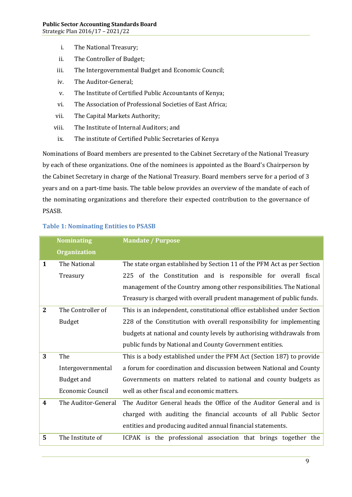- i. The National Treasury;
- ii. The Controller of Budget;
- iii. The Intergovernmental Budget and Economic Council;
- iv. The Auditor-General;
- v. The Institute of Certified Public Accountants of Kenya;
- vi. The Association of Professional Societies of East Africa;
- vii. The Capital Markets Authority;
- viii. The Institute of Internal Auditors; and
	- ix. The institute of Certified Public Secretaries of Kenya

Nominations of Board members are presented to the Cabinet Secretary of the National Treasury by each of these organizations. One of the nominees is appointed as the Board's Chairperson by the Cabinet Secretary in charge of the National Treasury. Board members serve for a period of 3 years and on a part-time basis. The table below provides an overview of the mandate of each of the nominating organizations and therefore their expected contribution to the governance of PSASB.

|              | <b>Nominating</b>   | <b>Mandate / Purpose</b>                                                |  |  |
|--------------|---------------------|-------------------------------------------------------------------------|--|--|
|              | <b>Organization</b> |                                                                         |  |  |
| 1            | The National        | The state organ established by Section 11 of the PFM Act as per Section |  |  |
|              | Treasury            | 225 of the Constitution and is responsible for overall fiscal           |  |  |
|              |                     | management of the Country among other responsibilities. The National    |  |  |
|              |                     | Treasury is charged with overall prudent management of public funds.    |  |  |
| $\mathbf{2}$ | The Controller of   | This is an independent, constitutional office established under Section |  |  |
|              | <b>Budget</b>       | 228 of the Constitution with overall responsibility for implementing    |  |  |
|              |                     | budgets at national and county levels by authorising withdrawals from   |  |  |
|              |                     | public funds by National and County Government entities.                |  |  |
| 3            | The                 | This is a body established under the PFM Act (Section 187) to provide   |  |  |
|              | Intergovernmental   | a forum for coordination and discussion between National and County     |  |  |
|              | Budget and          | Governments on matters related to national and county budgets as        |  |  |
|              | Economic Council    | well as other fiscal and economic matters.                              |  |  |
| 4            | The Auditor-General | The Auditor General heads the Office of the Auditor General and is      |  |  |
|              |                     | charged with auditing the financial accounts of all Public Sector       |  |  |
|              |                     | entities and producing audited annual financial statements.             |  |  |
| 5            | The Institute of    | ICPAK is the professional association that brings together the          |  |  |

#### **Table 1: Nominating Entities to PSASB**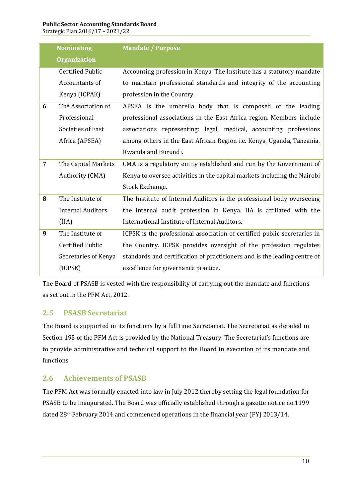#### **Public Sector Accounting Standards Board**

Strategic Plan 2016/17 – 2021/22

| <b>Nominating</b> |                          | <b>Mandate / Purpose</b>                                                     |  |  |
|-------------------|--------------------------|------------------------------------------------------------------------------|--|--|
|                   | <b>Organization</b>      |                                                                              |  |  |
|                   | <b>Certified Public</b>  | Accounting profession in Kenya. The Institute has a statutory mandate        |  |  |
|                   | Accountants of           | to maintain professional standards and integrity of the accounting           |  |  |
|                   | Kenya (ICPAK)            | profession in the Country.                                                   |  |  |
| 6                 | The Association of       | APSEA is the umbrella body that is composed of the leading                   |  |  |
|                   | Professional             | professional associations in the East Africa region. Members include         |  |  |
|                   | Societies of East        | associations representing: legal, medical, accounting professions            |  |  |
|                   | Africa (APSEA)           | among others in the East African Region <i>i.e.</i> Kenya, Uganda, Tanzania, |  |  |
|                   |                          | Rwanda and Burundi.                                                          |  |  |
| $\overline{7}$    | The Capital Markets      | CMA is a regulatory entity established and run by the Government of          |  |  |
|                   | Authority (CMA)          | Kenya to oversee activities in the capital markets including the Nairobi     |  |  |
|                   |                          | Stock Exchange.                                                              |  |  |
| 8                 | The Institute of         | The Institute of Internal Auditors is the professional body overseeing       |  |  |
|                   | <b>Internal Auditors</b> | the internal audit profession in Kenya. IIA is affiliated with the           |  |  |
|                   | (IIA)                    | International Institute of Internal Auditors.                                |  |  |
| 9                 | The Institute of         | ICPSK is the professional association of certified public secretaries in     |  |  |
|                   | <b>Certified Public</b>  | the Country. ICPSK provides oversight of the profession regulates            |  |  |
|                   | Secretaries of Kenya     | standards and certification of practitioners and is the leading centre of    |  |  |
|                   | (ICPSK)                  | excellence for governance practice.                                          |  |  |

The Board of PSASB is vested with the responsibility of carrying out the mandate and functions as set out in the PFM Act, 2012.

# **2.5 PSASB Secretariat**

The Board is supported in its functions by a full time Secretariat. The Secretariat as detailed in Section 195 of the PFM Act is provided by the National Treasury. The Secretariat's functions are to provide administrative and technical support to the Board in execution of its mandate and functions.

# **2.6 Achievements of PSASB**

<span id="page-19-1"></span><span id="page-19-0"></span>The PFM Act was formally enacted into law in July 2012 thereby setting the legal foundation for PSASB to be inaugurated. The Board was officially established through a gazette notice no.1199 dated 28th February 2014 and commenced operations in the financial year (FY) 2013/14.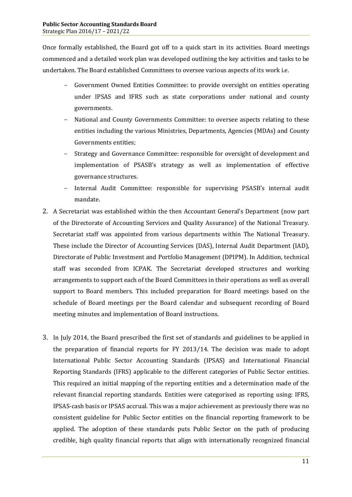Once formally established, the Board got off to a quick start in its activities. Board meetings commenced and a detailed work plan was developed outlining the key activities and tasks to be undertaken. The Board established Committees to oversee various aspects of its work i.e.

- Government Owned Entities Committee: to provide oversight on entities operating under IPSAS and IFRS such as state corporations under national and county governments.
- National and County Governments Committee: to oversee aspects relating to these entities including the various Ministries, Departments, Agencies (MDAs) and County Governments entities;
- Strategy and Governance Committee: responsible for oversight of development and implementation of PSASB's strategy as well as implementation of effective governance structures.
- Internal Audit Committee: responsible for supervising PSASB's internal audit mandate.
- 2. A Secretariat was established within the then Accountant General's Department (now part of the Directorate of Accounting Services and Quality Assurance) of the National Treasury. Secretariat staff was appointed from various departments within The National Treasury. These include the Director of Accounting Services (DAS), Internal Audit Department (IAD), Directorate of Public Investment and Portfolio Management (DPIPM). In Addition, technical staff was seconded from ICPAK. The Secretariat developed structures and working arrangements to support each of the Board Committees in their operations as well as overall support to Board members. This included preparation for Board meetings based on the schedule of Board meetings per the Board calendar and subsequent recording of Board meeting minutes and implementation of Board instructions.
- 3. In July 2014, the Board prescribed the first set of standards and guidelines to be applied in the preparation of financial reports for FY 2013/14. The decision was made to adopt International Public Sector Accounting Standards (IPSAS) and International Financial Reporting Standards (IFRS) applicable to the different categories of Public Sector entities. This required an initial mapping of the reporting entities and a determination made of the relevant financial reporting standards. Entities were categorised as reporting using: IFRS, IPSAS-cash basis or IPSAS accrual. This was a major achievement as previously there was no consistent guideline for Public Sector entities on the financial reporting framework to be applied. The adoption of these standards puts Public Sector on the path of producing credible, high quality financial reports that align with internationally recognized financial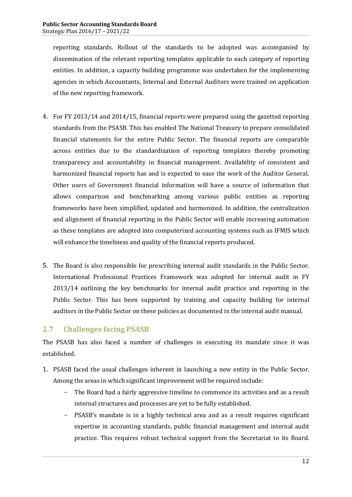reporting standards. Rollout of the standards to be adopted was accompanied by dissemination of the relevant reporting templates applicable to each category of reporting entities. In addition, a capacity building programme was undertaken for the implementing agencies in which Accountants, Internal and External Auditors were trained on application of the new reporting framework.

- 4. For FY 2013/14 and 2014/15, financial reports were prepared using the gazetted reporting standards from the PSASB. This has enabled The National Treasury to prepare consolidated financial statements for the entire Public Sector. The financial reports are comparable across entities due to the standardization of reporting templates thereby promoting transparency and accountability in financial management. Availability of consistent and harmonized financial reports has and is expected to ease the work of the Auditor General. Other users of Government financial information will have a source of information that allows comparison and benchmarking among various public entities as reporting frameworks have been simplified, updated and harmonized. In addition, the centralization and alignment of financial reporting in the Public Sector will enable increasing automation as these templates are adopted into computerized accounting systems such as IFMIS which will enhance the timeliness and quality of the financial reports produced.
- 5. The Board is also responsible for prescribing internal audit standards in the Public Sector. International Professional Practices Framework was adopted for internal audit in FY 2013/14 outlining the key benchmarks for internal audit practice and reporting in the Public Sector. This has been supported by training and capacity building for internal auditors in the Public Sector on these policies as documented in the internal audit manual.

# **2.7 Challenges facing PSASB**

The PSASB has also faced a number of challenges in executing its mandate since it was established.

- <span id="page-21-0"></span>1. PSASB faced the usual challenges inherent in launching a new entity in the Public Sector. Among the areas in which significant improvement will be required include:
	- The Board had a fairly aggressive timeline to commence its activities and as a result internal structures and processes are yet to be fully established.
	- PSASB's mandate is in a highly technical area and as a result requires significant expertise in accounting standards, public financial management and internal audit practice. This requires robust technical support from the Secretariat to its Board.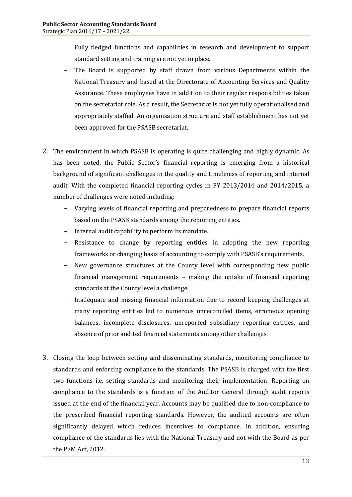Fully fledged functions and capabilities in research and development to support standard setting and training are not yet in place.

- The Board is supported by staff drawn from various Departments within the National Treasury and based at the Directorate of Accounting Services and Quality Assurance. These employees have in addition to their regular responsibilities taken on the secretariat role. As a result, the Secretariat is not yet fully operationalised and appropriately staffed. An organisation structure and staff establishment has not yet been approved for the PSASB secretariat.
- 2. The environment in which PSASB is operating is quite challenging and highly dynamic. As has been noted, the Public Sector's financial reporting is emerging from a historical background of significant challenges in the quality and timeliness of reporting and internal audit. With the completed financial reporting cycles in FY 2013/2014 and 2014/2015, a number of challenges were noted including:
	- Varying levels of financial reporting and preparedness to prepare financial reports based on the PSASB standards among the reporting entities.
	- Internal audit capability to perform its mandate.
	- Resistance to change by reporting entities in adopting the new reporting frameworks or changing basis of accounting to comply with PSASB's requirements.
	- New governance structures at the County level with corresponding new public financial management requirements – making the uptake of financial reporting standards at the County level a challenge.
	- Inadequate and missing financial information due to record keeping challenges at many reporting entities led to numerous unreconciled items, erroneous opening balances, incomplete disclosures, unreported subsidiary reporting entities, and absence of prior audited financial statements among other challenges.
- 3. Closing the loop between setting and disseminating standards, monitoring compliance to standards and enforcing compliance to the standards. The PSASB is charged with the first two functions i.e. setting standards and monitoring their implementation. Reporting on compliance to the standards is a function of the Auditor General through audit reports issued at the end of the financial year. Accounts may be qualified due to non-compliance to the prescribed financial reporting standards. However, the audited accounts are often significantly delayed which reduces incentives to compliance. In addition, ensuring compliance of the standards lies with the National Treasury and not with the Board as per the PFM Act, 2012.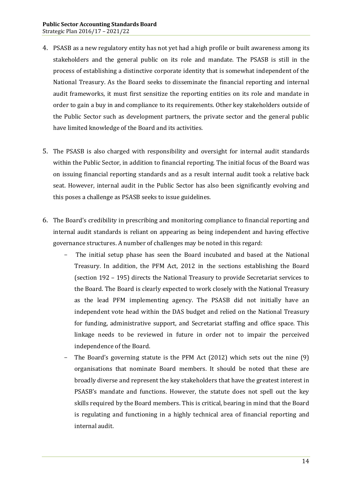- 4. PSASB as a new regulatory entity has not yet had a high profile or built awareness among its stakeholders and the general public on its role and mandate. The PSASB is still in the process of establishing a distinctive corporate identity that is somewhat independent of the National Treasury. As the Board seeks to disseminate the financial reporting and internal audit frameworks, it must first sensitize the reporting entities on its role and mandate in order to gain a buy in and compliance to its requirements. Other key stakeholders outside of the Public Sector such as development partners, the private sector and the general public have limited knowledge of the Board and its activities.
- 5. The PSASB is also charged with responsibility and oversight for internal audit standards within the Public Sector, in addition to financial reporting. The initial focus of the Board was on issuing financial reporting standards and as a result internal audit took a relative back seat. However, internal audit in the Public Sector has also been significantly evolving and this poses a challenge as PSASB seeks to issue guidelines.
- 6. The Board's credibility in prescribing and monitoring compliance to financial reporting and internal audit standards is reliant on appearing as being independent and having effective governance structures. A number of challenges may be noted in this regard:
	- The initial setup phase has seen the Board incubated and based at the National Treasury. In addition, the PFM Act, 2012 in the sections establishing the Board (section 192 – 195) directs the National Treasury to provide Secretariat services to the Board. The Board is clearly expected to work closely with the National Treasury as the lead PFM implementing agency. The PSASB did not initially have an independent vote head within the DAS budget and relied on the National Treasury for funding, administrative support, and Secretariat staffing and office space. This linkage needs to be reviewed in future in order not to impair the perceived independence of the Board.
	- The Board's governing statute is the PFM Act  $(2012)$  which sets out the nine  $(9)$ organisations that nominate Board members. It should be noted that these are broadly diverse and represent the key stakeholders that have the greatest interest in PSASB's mandate and functions. However, the statute does not spell out the key skills required by the Board members. This is critical, bearing in mind that the Board is regulating and functioning in a highly technical area of financial reporting and internal audit.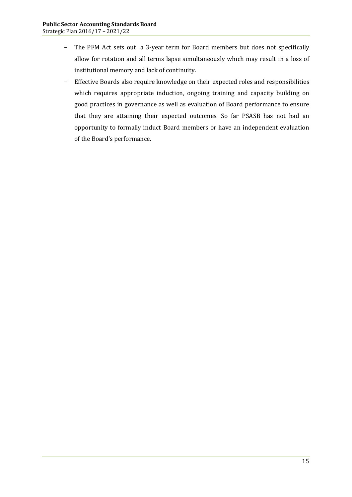- The PFM Act sets out a 3-year term for Board members but does not specifically allow for rotation and all terms lapse simultaneously which may result in a loss of institutional memory and lack of continuity.
- Effective Boards also require knowledge on their expected roles and responsibilities which requires appropriate induction, ongoing training and capacity building on good practices in governance as well as evaluation of Board performance to ensure that they are attaining their expected outcomes. So far PSASB has not had an opportunity to formally induct Board members or have an independent evaluation of the Board's performance.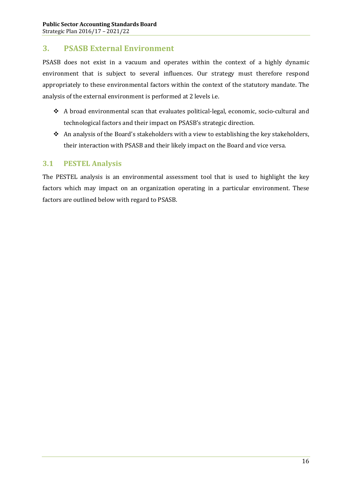# **3. PSASB External Environment**

PSASB does not exist in a vacuum and operates within the context of a highly dynamic environment that is subject to several influences. Our strategy must therefore respond appropriately to these environmental factors within the context of the statutory mandate. The analysis of the external environment is performed at 2 levels i.e.

- \* A broad environmental scan that evaluates political-legal, economic, socio-cultural and technological factors and their impact on PSASB's strategic direction.
- $\triangle$  An analysis of the Board's stakeholders with a view to establishing the key stakeholders, their interaction with PSASB and their likely impact on the Board and vice versa.

#### **3.1 PESTEL Analysis**

<span id="page-25-1"></span><span id="page-25-0"></span>The PESTEL analysis is an environmental assessment tool that is used to highlight the key factors which may impact on an organization operating in a particular environment. These factors are outlined below with regard to PSASB.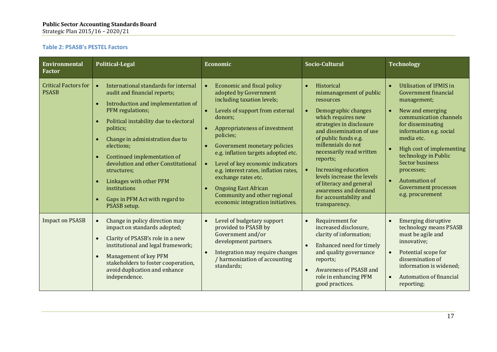#### **Table 2: PSASB's PESTEL Factors**

<span id="page-26-0"></span>

| <b>Environmental</b><br><b>Factor</b>       | <b>Political-Legal</b>                                                                                                                                                                                                                                                                                                                                                                                                                                                       | Economic                                                                                                                                                                                                                                                                                                                                                                                                                                                                         | Socio-Cultural                                                                                                                                                                                                                                                                                                                                                                                                        | <b>Technology</b>                                                                                                                                                                                                                                                                                                                           |
|---------------------------------------------|------------------------------------------------------------------------------------------------------------------------------------------------------------------------------------------------------------------------------------------------------------------------------------------------------------------------------------------------------------------------------------------------------------------------------------------------------------------------------|----------------------------------------------------------------------------------------------------------------------------------------------------------------------------------------------------------------------------------------------------------------------------------------------------------------------------------------------------------------------------------------------------------------------------------------------------------------------------------|-----------------------------------------------------------------------------------------------------------------------------------------------------------------------------------------------------------------------------------------------------------------------------------------------------------------------------------------------------------------------------------------------------------------------|---------------------------------------------------------------------------------------------------------------------------------------------------------------------------------------------------------------------------------------------------------------------------------------------------------------------------------------------|
| <b>Critical Factors for</b><br><b>PSASB</b> | International standards for internal<br>$\bullet$<br>audit and financial reports;<br>Introduction and implementation of<br>PFM regulations;<br>Political instability due to electoral<br>politics;<br>Change in administration due to<br>elections;<br>Continued implementation of<br>$\bullet$<br>devolution and other Constitutional<br>structures;<br>Linkages with other PFM<br>$\bullet$<br>institutions<br>Gaps in PFM Act with regard to<br>$\bullet$<br>PSASB setup. | <b>Economic and fiscal policy</b><br>adopted by Government<br>including taxation levels;<br>Levels of support from external<br>donors;<br>Appropriateness of investment<br>policies;<br>Government monetary policies<br>e.g. inflation targets adopted etc.<br>Level of key economic indicators<br>$\bullet$<br>e.g. interest rates, inflation rates,<br>exchange rates etc.<br><b>Ongoing East African</b><br>Community and other regional<br>economic integration initiatives. | Historical<br>$\bullet$<br>mismanagement of public<br>resources<br>Demographic changes<br>which requires new<br>strategies in disclosure<br>and dissemination of use<br>of public funds e.g.<br>millennials do not<br>necessarily read written<br>reports;<br><b>Increasing education</b><br>levels increase the levels<br>of literacy and general<br>awareness and demand<br>for accountability and<br>transparency. | <b>Utilisation of IFMIS in</b><br>Government financial<br>management;<br>New and emerging<br>communication channels<br>for disseminating<br>information e.g. social<br>media etc.<br>High cost of implementing<br>technology in Public<br>Sector business<br>processes;<br>Automation of<br><b>Government processes</b><br>e.g. procurement |
| <b>Impact on PSASB</b>                      | Change in policy direction may<br>$\bullet$<br>impact on standards adopted;<br>Clarity of PSASB's role in a new<br>$\bullet$<br>institutional and legal framework;<br>Management of key PFM<br>$\bullet$<br>stakeholders to foster cooperation,<br>avoid duplication and enhance<br>independence.                                                                                                                                                                            | Level of budgetary support<br>$\bullet$<br>provided to PSASB by<br>Government and/or<br>development partners.<br>Integration may require changes<br>$\bullet$<br>/ harmonization of accounting<br>standards;                                                                                                                                                                                                                                                                     | Requirement for<br>$\bullet$<br>increased disclosure,<br>clarity of information;<br>Enhanced need for timely<br>$\bullet$<br>and quality governance<br>reports;<br>Awareness of PSASB and<br>$\bullet$<br>role in enhancing PFM<br>good practices.                                                                                                                                                                    | <b>Emerging disruptive</b><br>technology means PSASB<br>must be agile and<br>innovative;<br>Potential scope for<br>dissemination of<br>information is widened;<br><b>Automation of financial</b><br>reporting;                                                                                                                              |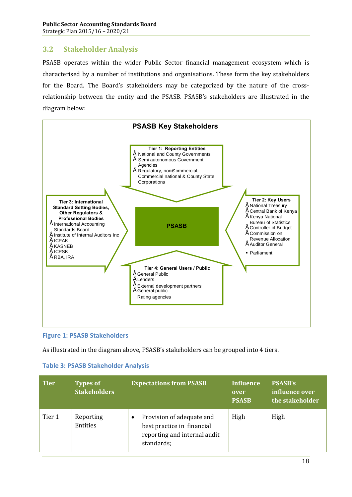# **3.2 Stakeholder Analysis**

PSASB operates within the wider Public Sector financial management ecosystem which is characterised by a number of institutions and organisations. These form the key stakeholders for the Board. The Board's stakeholders may be categorized by the nature of the crossrelationship between the entity and the PSASB. PSASB's stakeholders are illustrated in the diagram below:



#### **Figure 1: PSASB Stakeholders**

As illustrated in the diagram above, PSASB's stakeholders can be grouped into 4 tiers.

<span id="page-27-1"></span><span id="page-27-0"></span>

| <b>Tier</b> | <b>Types of</b><br><b>Stakeholders</b> | <b>Expectations from PSASB</b>                                                                        | Influence<br>over<br><b>PSASB</b> | <b>PSASB's</b><br>influence over<br>the stakeholder |
|-------------|----------------------------------------|-------------------------------------------------------------------------------------------------------|-----------------------------------|-----------------------------------------------------|
| Tier 1      | Reporting<br>Entities                  | Provision of adequate and<br>best practice in financial<br>reporting and internal audit<br>standards; | High                              | High                                                |

#### **Table 3: PSASB Stakeholder Analysis**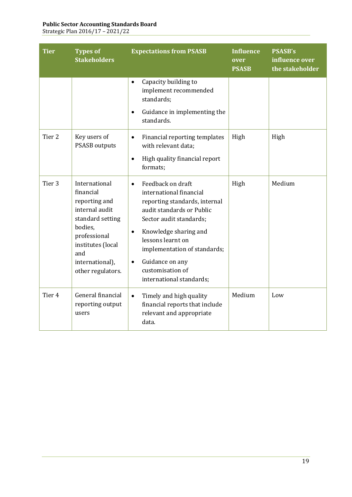#### **Public Sector Accounting Standards Board**

Strategic Plan 2016/17 – 2021/22

| <b>Tier</b>       | <b>Types of</b><br><b>Stakeholders</b>                                                                                                                                           | <b>Expectations from PSASB</b>                                                                                                                                                                                                                                                                                                | <b>Influence</b><br>over<br><b>PSASB</b> | <b>PSASB's</b><br>influence over<br>the stakeholder |
|-------------------|----------------------------------------------------------------------------------------------------------------------------------------------------------------------------------|-------------------------------------------------------------------------------------------------------------------------------------------------------------------------------------------------------------------------------------------------------------------------------------------------------------------------------|------------------------------------------|-----------------------------------------------------|
|                   |                                                                                                                                                                                  | Capacity building to<br>$\bullet$<br>implement recommended<br>standards;<br>Guidance in implementing the<br>$\bullet$<br>standards.                                                                                                                                                                                           |                                          |                                                     |
| Tier 2            | Key users of<br><b>PSASB</b> outputs                                                                                                                                             | Financial reporting templates<br>$\bullet$<br>with relevant data;<br>High quality financial report<br>$\bullet$<br>formats;                                                                                                                                                                                                   | High                                     | High                                                |
| Tier <sub>3</sub> | International<br>financial<br>reporting and<br>internal audit<br>standard setting<br>bodies,<br>professional<br>institutes (local<br>and<br>international),<br>other regulators. | Feedback on draft<br>$\bullet$<br>international financial<br>reporting standards, internal<br>audit standards or Public<br>Sector audit standards;<br>Knowledge sharing and<br>$\bullet$<br>lessons learnt on<br>implementation of standards;<br>Guidance on any<br>$\bullet$<br>customisation of<br>international standards; | High                                     | Medium                                              |
| Tier <sub>4</sub> | General financial<br>reporting output<br>users                                                                                                                                   | Timely and high quality<br>$\bullet$<br>financial reports that include<br>relevant and appropriate<br>data.                                                                                                                                                                                                                   | Medium                                   | Low                                                 |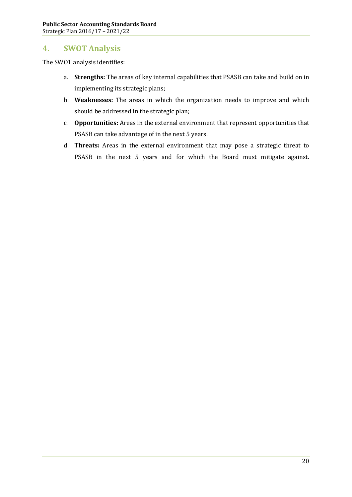# **4. SWOT Analysis**

The SWOT analysis identifies:

- a. **Strengths:** The areas of key internal capabilities that PSASB can take and build on in implementing its strategic plans;
- b. **Weaknesses:** The areas in which the organization needs to improve and which should be addressed in the strategic plan;
- c. **Opportunities:** Areas in the external environment that represent opportunities that PSASB can take advantage of in the next 5 years.
- <span id="page-29-0"></span>d. **Threats:** Areas in the external environment that may pose a strategic threat to PSASB in the next 5 years and for which the Board must mitigate against.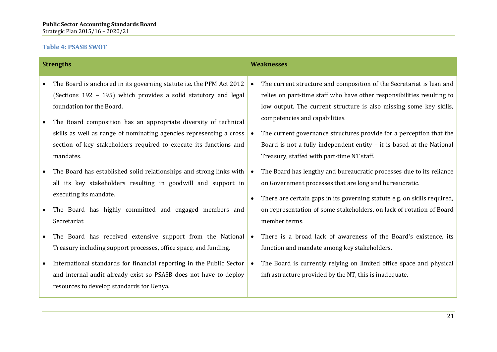#### **Table 4: PSASB SWOT**

<span id="page-30-0"></span>

|           | <b>Strengths</b>                                                                                                                                                                                                         | <b>Weaknesses</b>                                                                                                                                                                                                                                      |
|-----------|--------------------------------------------------------------------------------------------------------------------------------------------------------------------------------------------------------------------------|--------------------------------------------------------------------------------------------------------------------------------------------------------------------------------------------------------------------------------------------------------|
| $\bullet$ | The Board is anchored in its governing statute i.e. the PFM Act 2012<br>(Sections 192 - 195) which provides a solid statutory and legal<br>foundation for the Board.                                                     | The current structure and composition of the Secretariat is lean and<br>relies on part-time staff who have other responsibilities resulting to<br>low output. The current structure is also missing some key skills,<br>competencies and capabilities. |
| $\bullet$ | The Board composition has an appropriate diversity of technical<br>skills as well as range of nominating agencies representing a cross<br>section of key stakeholders required to execute its functions and<br>mandates. | The current governance structures provide for a perception that the<br>Board is not a fully independent entity - it is based at the National<br>Treasury, staffed with part-time NT staff.                                                             |
|           | The Board has established solid relationships and strong links with<br>all its key stakeholders resulting in goodwill and support in                                                                                     | The Board has lengthy and bureaucratic processes due to its reliance<br>on Government processes that are long and bureaucratic.                                                                                                                        |
|           | executing its mandate.<br>The Board has highly committed and engaged members and<br>Secretariat.                                                                                                                         | There are certain gaps in its governing statute e.g. on skills required,<br>on representation of some stakeholders, on lack of rotation of Board<br>member terms.                                                                                      |
|           | The Board has received extensive support from the National<br>Treasury including support processes, office space, and funding.                                                                                           | There is a broad lack of awareness of the Board's existence, its<br>function and mandate among key stakeholders.                                                                                                                                       |
|           | International standards for financial reporting in the Public Sector<br>and internal audit already exist so PSASB does not have to deploy<br>resources to develop standards for Kenya.                                   | The Board is currently relying on limited office space and physical<br>infrastructure provided by the NT, this is inadequate.                                                                                                                          |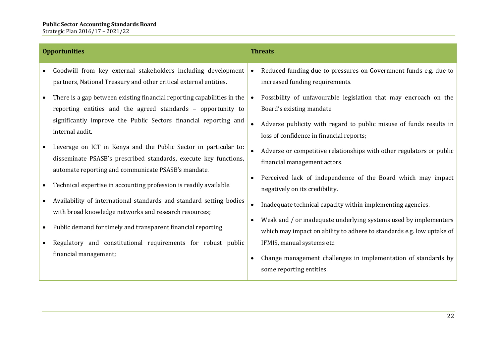| <b>Opportunities</b>                                                                                                                                                                                                           | <b>Threats</b>                                                                                                                                                                   |  |  |
|--------------------------------------------------------------------------------------------------------------------------------------------------------------------------------------------------------------------------------|----------------------------------------------------------------------------------------------------------------------------------------------------------------------------------|--|--|
| Goodwill from key external stakeholders including development<br>partners, National Treasury and other critical external entities.                                                                                             | Reduced funding due to pressures on Government funds e.g. due to<br>$\bullet$<br>increased funding requirements.                                                                 |  |  |
| There is a gap between existing financial reporting capabilities in the<br>reporting entities and the agreed standards - opportunity to<br>significantly improve the Public Sectors financial reporting and<br>internal audit. | Possibility of unfavourable legislation that may encroach on the<br>$\bullet$<br>Board's existing mandate.<br>Adverse publicity with regard to public misuse of funds results in |  |  |
| Leverage on ICT in Kenya and the Public Sector in particular to:<br>disseminate PSASB's prescribed standards, execute key functions,<br>automate reporting and communicate PSASB's mandate.                                    | loss of confidence in financial reports;<br>Adverse or competitive relationships with other regulators or public<br>financial management actors.                                 |  |  |
| Technical expertise in accounting profession is readily available.                                                                                                                                                             | Perceived lack of independence of the Board which may impact<br>negatively on its credibility.                                                                                   |  |  |
| Availability of international standards and standard setting bodies<br>with broad knowledge networks and research resources;                                                                                                   | Inadequate technical capacity within implementing agencies.                                                                                                                      |  |  |
| Public demand for timely and transparent financial reporting.                                                                                                                                                                  | Weak and / or inadequate underlying systems used by implementers<br>which may impact on ability to adhere to standards e.g. low uptake of                                        |  |  |
| Regulatory and constitutional requirements for robust public<br>financial management;                                                                                                                                          | IFMIS, manual systems etc.<br>Change management challenges in implementation of standards by<br>some reporting entities.                                                         |  |  |
|                                                                                                                                                                                                                                |                                                                                                                                                                                  |  |  |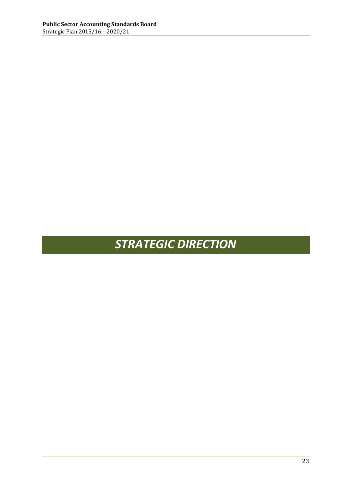# <span id="page-32-0"></span>*STRATEGIC DIRECTION*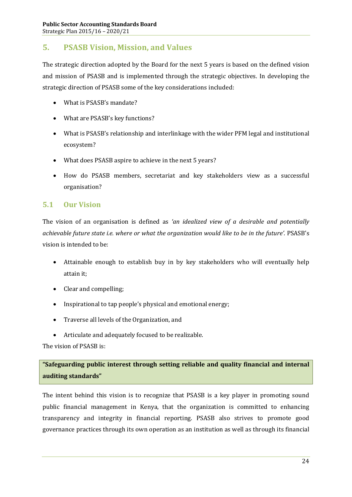# **5. PSASB Vision, Mission, and Values**

The strategic direction adopted by the Board for the next 5 years is based on the defined vision and mission of PSASB and is implemented through the strategic objectives. In developing the strategic direction of PSASB some of the key considerations included:

- · What is PSASB's mandate?
- What are PSASB's key functions?
- · What is PSASB's relationship and interlinkage with the wider PFM legal and institutional ecosystem?
- · What does PSASB aspire to achieve in the next 5 years?
- · How do PSASB members, secretariat and key stakeholders view as a successful organisation?

## **5.1 Our Vision**

The vision of an organisation is defined as *'an idealized view of a desirable and potentially achievable future state i.e. where or what the organization would like to be in the future'.* PSASB's vision is intended to be:

- · Attainable enough to establish buy in by key stakeholders who will eventually help attain it;
- Clear and compelling;
- · Inspirational to tap people's physical and emotional energy;
- · Traverse all levels of the Organization, and
- · Articulate and adequately focused to be realizable.

The vision of PSASB is:

# **"Safeguarding public interest through setting reliable and quality financial and internal auditing standards"**

The intent behind this vision is to recognize that PSASB is a key player in promoting sound public financial management in Kenya, that the organization is committed to enhancing transparency and integrity in financial reporting. PSASB also strives to promote good governance practices through its own operation as an institution as well as through its financial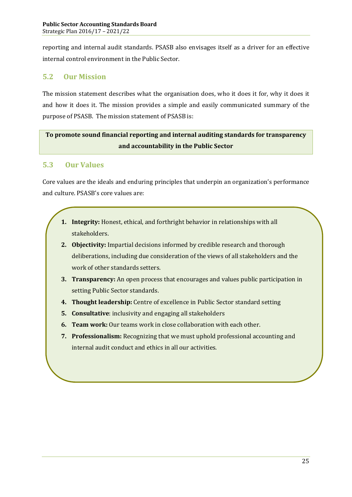reporting and internal audit standards. PSASB also envisages itself as a driver for an effective internal control environment in the Public Sector.

# **5.2 Our Mission**

The mission statement describes what the organisation does, who it does it for, why it does it and how it does it. The mission provides a simple and easily communicated summary of the purpose of PSASB. The mission statement of PSASB is:

# **To promote sound financial reporting and internal auditing standards for transparency and accountability in the Public Sector**

# **5.3 Our Values**

Core values are the ideals and enduring principles that underpin an organization's performance and culture. PSASB's core values are:

- **1. Integrity:** Honest, ethical, and forthright behavior in relationships with all stakeholders.
- **2. Objectivity:** Impartial decisions informed by credible research and thorough deliberations, including due consideration of the views of all stakeholders and the work of other standards setters.
- **3. Transparency:** An open process that encourages and values public participation in setting Public Sector standards.
- **4. Thought leadership:** Centre of excellence in Public Sector standard setting
- **5. Consultative**: inclusivity and engaging all stakeholders
- **6. Team work:** Our teams work in close collaboration with each other.
- **7. Professionalism:** Recognizing that we must uphold professional accounting and internal audit conduct and ethics in all our activities.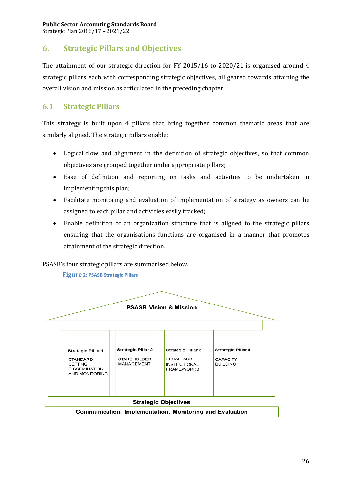# **6. Strategic Pillars and Objectives**

The attainment of our strategic direction for FY 2015/16 to 2020/21 is organised around 4 strategic pillars each with corresponding strategic objectives, all geared towards attaining the overall vision and mission as articulated in the preceding chapter.

# **6.1 Strategic Pillars**

This strategy is built upon 4 pillars that bring together common thematic areas that are similarly aligned. The strategic pillars enable:

- · Logical flow and alignment in the definition of strategic objectives, so that common objectives are grouped together under appropriate pillars;
- · Ease of definition and reporting on tasks and activities to be undertaken in implementing this plan;
- Facilitate monitoring and evaluation of implementation of strategy as owners can be assigned to each pillar and activities easily tracked;
- · Enable definition of an organization structure that is aligned to the strategic pillars ensuring that the organisations functions are organised in a manner that promotes attainment of the strategic direction.

PSASB's four strategic pillars are summarised below.

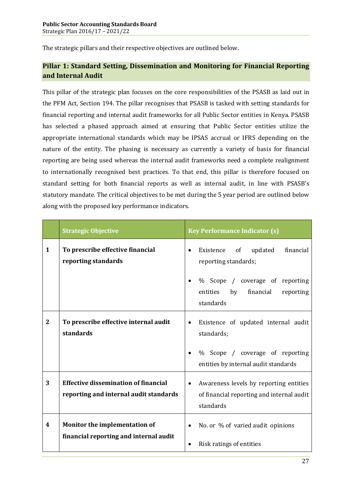The strategic pillars and their respective objectives are outlined below.

### **Pillar 1: Standard Setting, Dissemination and Monitoring for Financial Reporting and Internal Audit**

This pillar of the strategic plan focuses on the core responsibilities of the PSASB as laid out in the PFM Act, Section 194. The pillar recognises that PSASB is tasked with setting standards for financial reporting and internal audit frameworks for all Public Sector entities in Kenya. PSASB has selected a phased approach aimed at ensuring that Public Sector entities utilize the appropriate international standards which may be IPSAS accrual or IFRS depending on the nature of the entity. The phasing is necessary as currently a variety of basis for financial reporting are being used whereas the internal audit frameworks need a complete realignment to internationally recognised best practices. To that end, this pillar is therefore focused on standard setting for both financial reports as well as internal audit, in line with PSASB's statutory mandate. The critical objectives to be met during the 5 year period are outlined below along with the proposed key performance indicators.

|              | <b>Strategic Objective</b>                                                            | <b>Key Performance Indicator (s)</b>                                                                          |
|--------------|---------------------------------------------------------------------------------------|---------------------------------------------------------------------------------------------------------------|
| $\mathbf{1}$ | To prescribe effective financial<br>reporting standards                               | financial<br>Existence of<br>updated<br>reporting standards;                                                  |
|              |                                                                                       | % Scope / coverage of reporting<br>by<br>financial<br>entities<br>reporting<br>standards                      |
| $\mathbf{2}$ | To prescribe effective internal audit<br>standards                                    | Existence of updated internal audit<br>$\bullet$<br>standards;                                                |
|              |                                                                                       | % Scope / coverage of reporting<br>entities by internal audit standards                                       |
| 3            | <b>Effective dissemination of financial</b><br>reporting and internal audit standards | Awareness levels by reporting entities<br>$\bullet$<br>of financial reporting and internal audit<br>standards |
| 4            | Monitor the implementation of<br>financial reporting and internal audit               | No. or % of varied audit opinions<br>$\bullet$<br>Risk ratings of entities                                    |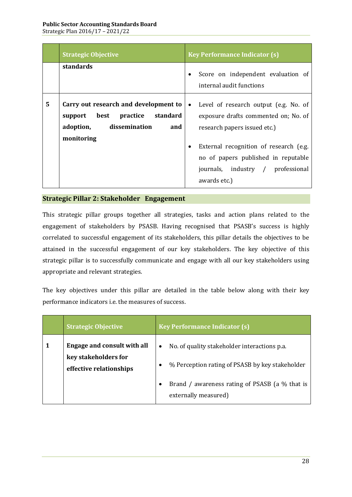|   | <b>Strategic Objective</b>                                                                                              | <b>Key Performance Indicator (s)</b>                                                                                                                                                                                                                             |
|---|-------------------------------------------------------------------------------------------------------------------------|------------------------------------------------------------------------------------------------------------------------------------------------------------------------------------------------------------------------------------------------------------------|
|   | standards                                                                                                               | Score on independent evaluation of<br>internal audit functions                                                                                                                                                                                                   |
| 5 | Carry out research and development to<br>support best practice standard<br>adoption, dissemination<br>and<br>monitoring | Level of research output (e.g. No. of<br>$\bullet$<br>exposure drafts commented on; No. of<br>research papers issued etc.)<br>External recognition of research (e.g.<br>no of papers published in reputable<br>journals, industry / professional<br>awards etc.) |

### **Strategic Pillar 2: Stakeholder Engagement**

This strategic pillar groups together all strategies, tasks and action plans related to the engagement of stakeholders by PSASB. Having recognised that PSASB's success is highly correlated to successful engagement of its stakeholders, this pillar details the objectives to be attained in the successful engagement of our key stakeholders. The key objective of this strategic pillar is to successfully communicate and engage with all our key stakeholders using appropriate and relevant strategies.

The key objectives under this pillar are detailed in the table below along with their key performance indicators i.e. the measures of success.

| <b>Strategic Objective</b>                                                     | <b>Key Performance Indicator (s)</b>                                                                                                                                                   |
|--------------------------------------------------------------------------------|----------------------------------------------------------------------------------------------------------------------------------------------------------------------------------------|
| Engage and consult with all<br>key stakeholders for<br>effective relationships | No. of quality stakeholder interactions p.a.<br>$\bullet$<br>% Perception rating of PSASB by key stakeholder<br>Brand / awareness rating of PSASB (a % that is<br>externally measured) |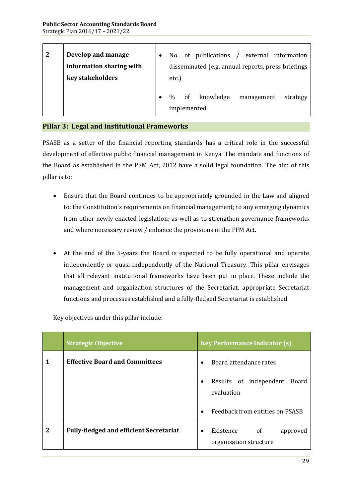| $\mathbf{2}$ | Develop and manage<br>information sharing with<br>key stakeholders | etc.)         | No. of publications<br>disseminated (e.g. annual reports, press briefings | $\sqrt{ }$ |            | external information |  |
|--------------|--------------------------------------------------------------------|---------------|---------------------------------------------------------------------------|------------|------------|----------------------|--|
|              |                                                                    | $\frac{0}{0}$ | of knowledge<br>implemented.                                              |            | management | strategy             |  |

### **Pillar 3: Legal and Institutional Frameworks**

PSASB as a setter of the financial reporting standards has a critical role in the successful development of effective public financial management in Kenya. The mandate and functions of the Board as established in the PFM Act, 2012 have a solid legal foundation. The aim of this pillar is to:

- · Ensure that the Board continues to be appropriately grounded in the Law and aligned to: the Constitution's requirements on financial management; to any emerging dynamics from other newly enacted legislation; as well as to strengthen governance frameworks and where necessary review / enhance the provisions in the PFM Act.
- · At the end of the 5-years the Board is expected to be fully operational and operate independently or quasi-independently of the National Treasury. This pillar envisages that all relevant institutional frameworks have been put in place. These include the management and organization structures of the Secretariat, appropriate Secretariat functions and processes established and a fully-fledged Secretariat is established.

Key objectives under this pillar include:

|   | <b>Strategic Objective</b>                     | <b>Key Performance Indicator (s)</b>                                          |
|---|------------------------------------------------|-------------------------------------------------------------------------------|
| 1 | <b>Effective Board and Committees</b>          | Board attendance rates<br>$\bullet$                                           |
|   |                                                | Results of independent<br>Board<br>$\bullet$<br>evaluation                    |
|   |                                                | Feedback from entities on PSASB<br>$\bullet$                                  |
| 2 | <b>Fully-fledged and efficient Secretariat</b> | <sub>of</sub><br>Existence<br>approved<br>$\bullet$<br>organisation structure |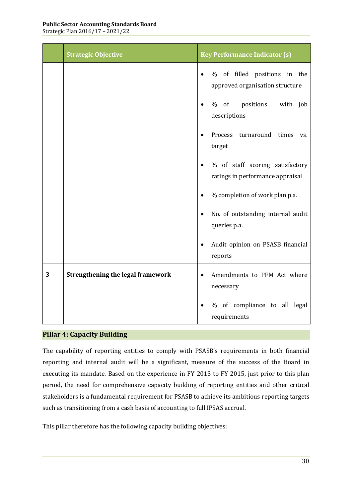Strategic Plan 2016/17 – 2021/22

|   | <b>Strategic Objective</b>               | <b>Key Performance Indicator (s)</b>                                             |
|---|------------------------------------------|----------------------------------------------------------------------------------|
|   |                                          | % of filled positions in the<br>approved organisation structure                  |
|   |                                          | % of<br>positions with job<br>descriptions                                       |
|   |                                          | Process turnaround times<br>VS.<br>target                                        |
|   |                                          | % of staff scoring satisfactory<br>$\bullet$<br>ratings in performance appraisal |
|   |                                          | % completion of work plan p.a.<br>$\bullet$                                      |
|   |                                          | No. of outstanding internal audit<br>queries p.a.                                |
|   |                                          | Audit opinion on PSASB financial<br>$\bullet$<br>reports                         |
| 3 | <b>Strengthening the legal framework</b> | Amendments to PFM Act where<br>$\bullet$<br>necessary                            |
|   |                                          | % of compliance to all legal<br>requirements                                     |

### **Pillar 4: Capacity Building**

The capability of reporting entities to comply with PSASB's requirements in both financial reporting and internal audit will be a significant, measure of the success of the Board in executing its mandate. Based on the experience in FY 2013 to FY 2015, just prior to this plan period, the need for comprehensive capacity building of reporting entities and other critical stakeholders is a fundamental requirement for PSASB to achieve its ambitious reporting targets such as transitioning from a cash basis of accounting to full IPSAS accrual.

This pillar therefore has the following capacity building objectives: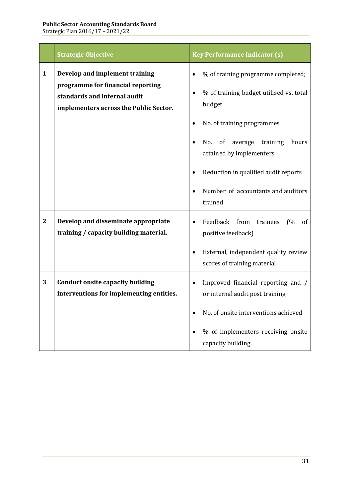|                | <b>Strategic Objective</b>                                                                                                                    | <b>Key Performance Indicator (s)</b>                                                                                                                                                                                                                                                                                                         |
|----------------|-----------------------------------------------------------------------------------------------------------------------------------------------|----------------------------------------------------------------------------------------------------------------------------------------------------------------------------------------------------------------------------------------------------------------------------------------------------------------------------------------------|
| $\mathbf{1}$   | Develop and implement training<br>programme for financial reporting<br>standards and internal audit<br>implementers across the Public Sector. | % of training programme completed;<br>$\bullet$<br>% of training budget utilised vs. total<br>$\bullet$<br>budget<br>No. of training programmes<br>$\bullet$<br>No.<br>of<br>average<br>hours<br>training<br>$\bullet$<br>attained by implementers.<br>Reduction in qualified audit reports<br>Number of accountants and auditors<br>trained |
| $\overline{2}$ | Develop and disseminate appropriate<br>training / capacity building material.                                                                 | Feedback from<br>trainees<br>(%<br>of<br>positive feedback)<br>External, independent quality review<br>$\bullet$<br>scores of training material                                                                                                                                                                                              |
| 3              | <b>Conduct onsite capacity building</b><br>interventions for implementing entities.                                                           | Improved financial reporting and /<br>$\bullet$<br>or internal audit post training<br>No. of onsite interventions achieved<br>% of implementers receiving onsite<br>capacity building.                                                                                                                                                       |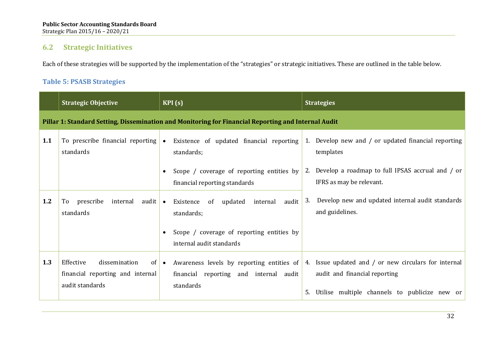## **6.2 Strategic Initiatives**

Each of these strategies will be supported by the implementation of the "strategies" or strategic initiatives. These are outlined in the table below.

### **Table 5: PSASB Strategies**

|     | <b>Strategic Objective</b>                                                        | KPI(s)                                                                                                           | <b>Strategies</b>                                                                                                                               |
|-----|-----------------------------------------------------------------------------------|------------------------------------------------------------------------------------------------------------------|-------------------------------------------------------------------------------------------------------------------------------------------------|
|     |                                                                                   | Pillar 1: Standard Setting, Dissemination and Monitoring for Financial Reporting and Internal Audit              |                                                                                                                                                 |
| 1.1 | To prescribe financial reporting<br>standards                                     | Existence of updated financial reporting<br>$\bullet$<br>standards;                                              | 1. Develop new and / or updated financial reporting<br>templates                                                                                |
|     |                                                                                   | Scope / coverage of reporting entities by<br>financial reporting standards                                       | Develop a roadmap to full IPSAS accrual and / or<br>2.<br>IFRS as may be relevant.                                                              |
| 1.2 | prescribe<br>internal audit $\bullet$<br>To<br>standards                          | internal audit<br>Existence<br>updated<br>of<br>standards;                                                       | Develop new and updated internal audit standards<br>3.<br>and guidelines.                                                                       |
|     |                                                                                   | Scope / coverage of reporting entities by<br>$\bullet$<br>internal audit standards                               |                                                                                                                                                 |
| 1.3 | Effective<br>dissemination<br>financial reporting and internal<br>audit standards | of $\bullet$<br>Awareness levels by reporting entities of<br>financial reporting and internal audit<br>standards | Issue updated and / or new circulars for internal<br>4.<br>audit and financial reporting<br>Utilise multiple channels to publicize new or<br>5. |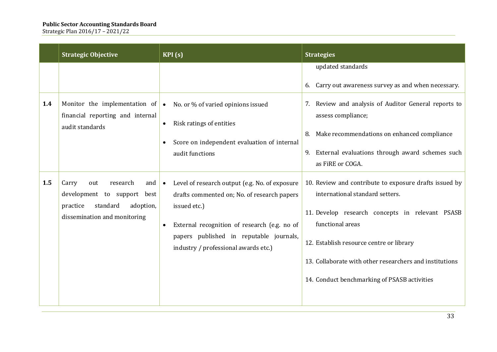|     | <b>Strategic Objective</b>                                                                                                          | KPI(s)                                                                                                                                                                                                                                                                     | <b>Strategies</b>                                                                                                                                                                                                                                                                                                       |
|-----|-------------------------------------------------------------------------------------------------------------------------------------|----------------------------------------------------------------------------------------------------------------------------------------------------------------------------------------------------------------------------------------------------------------------------|-------------------------------------------------------------------------------------------------------------------------------------------------------------------------------------------------------------------------------------------------------------------------------------------------------------------------|
|     |                                                                                                                                     |                                                                                                                                                                                                                                                                            | updated standards<br>6. Carry out awareness survey as and when necessary.                                                                                                                                                                                                                                               |
| 1.4 | Monitor the implementation of<br>financial reporting and internal<br>audit standards                                                | No. or % of varied opinions issued<br>$\bullet$<br>Risk ratings of entities<br>Score on independent evaluation of internal<br>audit functions                                                                                                                              | Review and analysis of Auditor General reports to<br>7.<br>assess compliance;<br>Make recommendations on enhanced compliance<br>8.<br>9. External evaluations through award schemes such<br>as FiRE or COGA.                                                                                                            |
| 1.5 | Carry<br>research<br>out<br>and<br>development to support best<br>standard<br>practice<br>adoption,<br>dissemination and monitoring | Level of research output (e.g. No. of exposure<br>$\bullet$<br>drafts commented on; No. of research papers<br>issued etc.)<br>External recognition of research (e.g. no of<br>$\bullet$<br>papers published in reputable journals,<br>industry / professional awards etc.) | 10. Review and contribute to exposure drafts issued by<br>international standard setters.<br>11. Develop research concepts in relevant PSASB<br>functional areas<br>12. Establish resource centre or library<br>13. Collaborate with other researchers and institutions<br>14. Conduct benchmarking of PSASB activities |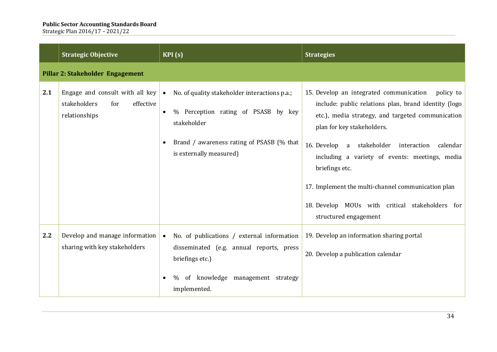|     | <b>Strategic Objective</b>                                                           | KPI(s)                                                                                                                                                                                                | <b>Strategies</b>                                                                                                                                                                                                                                                                                                                                                                                                                                       |
|-----|--------------------------------------------------------------------------------------|-------------------------------------------------------------------------------------------------------------------------------------------------------------------------------------------------------|---------------------------------------------------------------------------------------------------------------------------------------------------------------------------------------------------------------------------------------------------------------------------------------------------------------------------------------------------------------------------------------------------------------------------------------------------------|
|     | Pillar 2: Stakeholder Engagement                                                     |                                                                                                                                                                                                       |                                                                                                                                                                                                                                                                                                                                                                                                                                                         |
| 2.1 | Engage and consult with all key<br>stakeholders<br>for<br>effective<br>relationships | No. of quality stakeholder interactions p.a.;<br>$\bullet$<br>% Perception rating of PSASB by key<br>$\bullet$<br>stakeholder<br>Brand / awareness rating of PSASB (% that<br>is externally measured) | 15. Develop an integrated communication<br>policy to<br>include: public relations plan, brand identity (logo<br>etc.), media strategy, and targeted communication<br>plan for key stakeholders.<br>16. Develop a stakeholder interaction calendar<br>including a variety of events: meetings, media<br>briefings etc.<br>17. Implement the multi-channel communication plan<br>18. Develop MOUs with critical stakeholders for<br>structured engagement |
| 2.2 | Develop and manage information<br>sharing with key stakeholders                      | No. of publications / external information<br>$\bullet$<br>disseminated (e.g. annual reports, press<br>briefings etc.)<br>of knowledge management strategy<br>$\%$<br>implemented.                    | 19. Develop an information sharing portal<br>20. Develop a publication calendar                                                                                                                                                                                                                                                                                                                                                                         |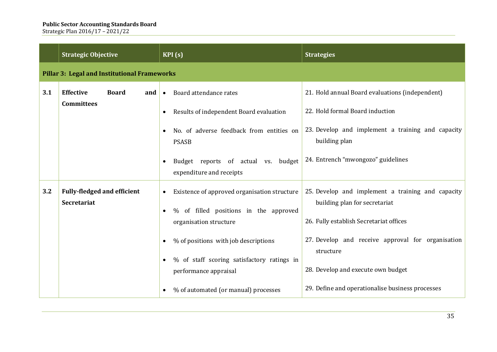|     | <b>Strategic Objective</b>                                             | KPI(s)                                                                                                                                                                                                                                                                 | <b>Strategies</b>                                                                                                                                                                                                                                                                         |
|-----|------------------------------------------------------------------------|------------------------------------------------------------------------------------------------------------------------------------------------------------------------------------------------------------------------------------------------------------------------|-------------------------------------------------------------------------------------------------------------------------------------------------------------------------------------------------------------------------------------------------------------------------------------------|
|     | <b>Pillar 3: Legal and Institutional Frameworks</b>                    |                                                                                                                                                                                                                                                                        |                                                                                                                                                                                                                                                                                           |
| 3.1 | <b>Effective</b><br><b>Board</b><br>and $\bullet$<br><b>Committees</b> | Board attendance rates<br>Results of independent Board evaluation<br>No. of adverse feedback from entities on<br><b>PSASB</b><br>Budget reports of actual vs. budget<br>expenditure and receipts                                                                       | 21. Hold annual Board evaluations (independent)<br>22. Hold formal Board induction<br>23. Develop and implement a training and capacity<br>building plan<br>24. Entrench "mwongozo" guidelines                                                                                            |
| 3.2 | <b>Fully-fledged and efficient</b><br><b>Secretariat</b>               | Existence of approved organisation structure<br>% of filled positions in the approved<br>organisation structure<br>% of positions with job descriptions<br>% of staff scoring satisfactory ratings in<br>performance appraisal<br>% of automated (or manual) processes | 25. Develop and implement a training and capacity<br>building plan for secretariat<br>26. Fully establish Secretariat offices<br>27. Develop and receive approval for organisation<br>structure<br>28. Develop and execute own budget<br>29. Define and operationalise business processes |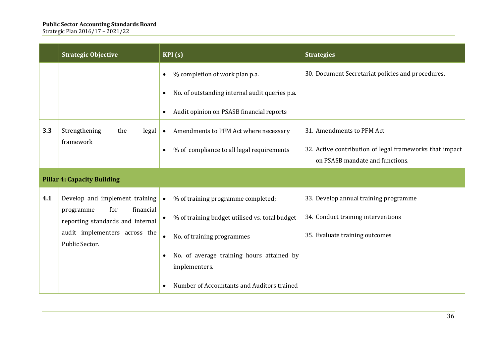|                                    | <b>Strategic Objective</b>                                      | KPI(s)                                                      | <b>Strategies</b>                                       |
|------------------------------------|-----------------------------------------------------------------|-------------------------------------------------------------|---------------------------------------------------------|
|                                    |                                                                 | % completion of work plan p.a.<br>$\bullet$                 | 30. Document Secretariat policies and procedures.       |
|                                    |                                                                 | No. of outstanding internal audit queries p.a.<br>$\bullet$ |                                                         |
|                                    |                                                                 | Audit opinion on PSASB financial reports<br>$\bullet$       |                                                         |
| 3.3                                | Strengthening<br>the<br>legal                                   | Amendments to PFM Act where necessary<br>$\bullet$          | 31. Amendments to PFM Act                               |
|                                    | framework                                                       | % of compliance to all legal requirements<br>$\bullet$      | 32. Active contribution of legal frameworks that impact |
|                                    |                                                                 |                                                             | on PSASB mandate and functions.                         |
| <b>Pillar 4: Capacity Building</b> |                                                                 |                                                             |                                                         |
| 4.1                                | Develop and implement training<br>financial<br>for<br>programme | % of training programme completed;<br>$\bullet$             | 33. Develop annual training programme                   |
|                                    | reporting standards and internal                                | % of training budget utilised vs. total budget<br>٠         | 34. Conduct training interventions                      |
|                                    | audit implementers across the<br>Public Sector.                 | No. of training programmes<br>$\bullet$                     | 35. Evaluate training outcomes                          |
|                                    |                                                                 | No. of average training hours attained by                   |                                                         |
|                                    |                                                                 | implementers.                                               |                                                         |
|                                    |                                                                 | Number of Accountants and Auditors trained                  |                                                         |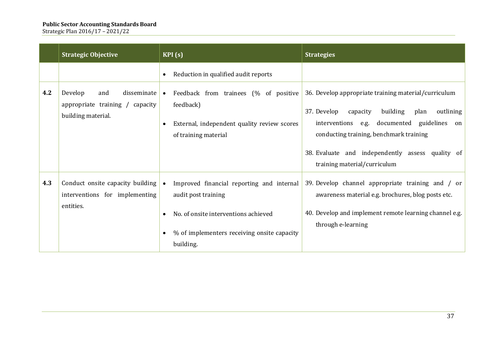|     | <b>Strategic Objective</b>                                                             | KPI(s)                                                                                                                                                                            | <b>Strategies</b>                                                                                                                                                                                                                                                                                    |
|-----|----------------------------------------------------------------------------------------|-----------------------------------------------------------------------------------------------------------------------------------------------------------------------------------|------------------------------------------------------------------------------------------------------------------------------------------------------------------------------------------------------------------------------------------------------------------------------------------------------|
|     |                                                                                        | Reduction in qualified audit reports                                                                                                                                              |                                                                                                                                                                                                                                                                                                      |
| 4.2 | Develop<br>disseminate<br>and<br>appropriate training / capacity<br>building material. | Feedback from trainees (% of positive<br>$\bullet$<br>feedback)<br>External, independent quality review scores<br>of training material                                            | 36. Develop appropriate training material/curriculum<br>37. Develop<br>building<br>capacity<br>plan<br>outlining<br>interventions e.g.<br>documented guidelines<br>on<br>conducting training, benchmark training<br>38. Evaluate and independently assess quality of<br>training material/curriculum |
| 4.3 | Conduct onsite capacity building<br>interventions for implementing<br>entities.        | Improved financial reporting and internal<br>$\bullet$<br>audit post training<br>No. of onsite interventions achieved<br>% of implementers receiving onsite capacity<br>building. | 39. Develop channel appropriate training and / or<br>awareness material e.g. brochures, blog posts etc.<br>40. Develop and implement remote learning channel e.g.<br>through e-learning                                                                                                              |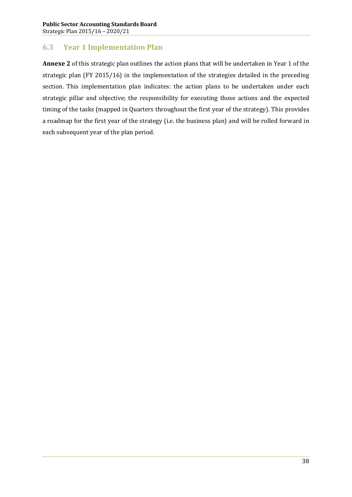# **6.3 Year 1 Implementation Plan**

**Annexe 2** of this strategic plan outlines the action plans that will be undertaken in Year 1 of the strategic plan (FY 2015/16) in the implementation of the strategies detailed in the preceding section. This implementation plan indicates: the action plans to be undertaken under each strategic pillar and objective; the responsibility for executing those actions and the expected timing of the tasks (mapped in Quarters throughout the first year of the strategy). This provides a roadmap for the first year of the strategy (i.e. the business plan) and will be rolled forward in each subsequent year of the plan period.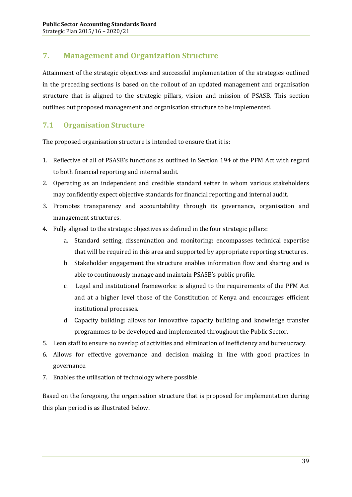# **7. Management and Organization Structure**

Attainment of the strategic objectives and successful implementation of the strategies outlined in the preceding sections is based on the rollout of an updated management and organisation structure that is aligned to the strategic pillars, vision and mission of PSASB. This section outlines out proposed management and organisation structure to be implemented.

# **7.1 Organisation Structure**

The proposed organisation structure is intended to ensure that it is:

- 1. Reflective of all of PSASB's functions as outlined in Section 194 of the PFM Act with regard to both financial reporting and internal audit.
- 2. Operating as an independent and credible standard setter in whom various stakeholders may confidently expect objective standards for financial reporting and internal audit.
- 3. Promotes transparency and accountability through its governance, organisation and management structures.
- 4. Fully aligned to the strategic objectives as defined in the four strategic pillars:
	- a. Standard setting, dissemination and monitoring: encompasses technical expertise that will be required in this area and supported by appropriate reporting structures.
	- b. Stakeholder engagement the structure enables information flow and sharing and is able to continuously manage and maintain PSASB's public profile.
	- c. Legal and institutional frameworks: is aligned to the requirements of the PFM Act and at a higher level those of the Constitution of Kenya and encourages efficient institutional processes.
	- d. Capacity building: allows for innovative capacity building and knowledge transfer programmes to be developed and implemented throughout the Public Sector.
- 5. Lean staff to ensure no overlap of activities and elimination of inefficiency and bureaucracy.
- 6. Allows for effective governance and decision making in line with good practices in governance.
- 7. Enables the utilisation of technology where possible.

Based on the foregoing, the organisation structure that is proposed for implementation during this plan period is as illustrated below.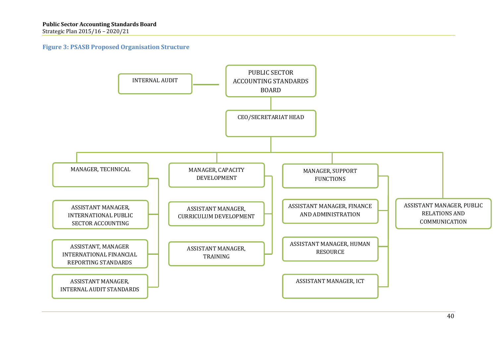### **Figure 3: PSASB Proposed Organisation Structure**

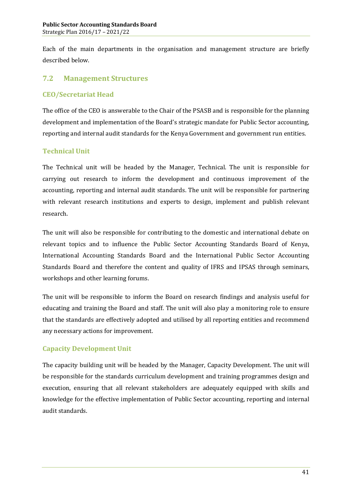Each of the main departments in the organisation and management structure are briefly described below.

## **7.2 Management Structures**

### **CEO/Secretariat Head**

The office of the CEO is answerable to the Chair of the PSASB and is responsible for the planning development and implementation of the Board's strategic mandate for Public Sector accounting, reporting and internal audit standards for the Kenya Government and government run entities.

### **Technical Unit**

The Technical unit will be headed by the Manager, Technical. The unit is responsible for carrying out research to inform the development and continuous improvement of the accounting, reporting and internal audit standards. The unit will be responsible for partnering with relevant research institutions and experts to design, implement and publish relevant research.

The unit will also be responsible for contributing to the domestic and international debate on relevant topics and to influence the Public Sector Accounting Standards Board of Kenya, International Accounting Standards Board and the International Public Sector Accounting Standards Board and therefore the content and quality of IFRS and IPSAS through seminars, workshops and other learning forums.

The unit will be responsible to inform the Board on research findings and analysis useful for educating and training the Board and staff. The unit will also play a monitoring role to ensure that the standards are effectively adopted and utilised by all reporting entities and recommend any necessary actions for improvement.

### **Capacity Development Unit**

The capacity building unit will be headed by the Manager, Capacity Development. The unit will be responsible for the standards curriculum development and training programmes design and execution, ensuring that all relevant stakeholders are adequately equipped with skills and knowledge for the effective implementation of Public Sector accounting, reporting and internal audit standards.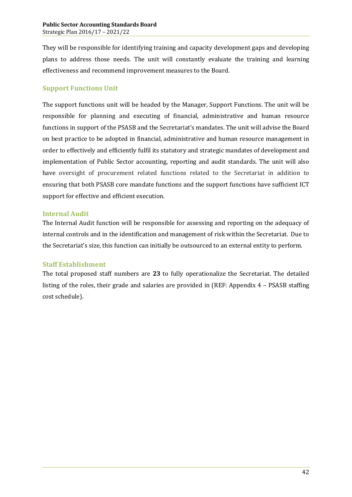They will be responsible for identifying training and capacity development gaps and developing plans to address those needs. The unit will constantly evaluate the training and learning effectiveness and recommend improvement measures to the Board.

### **Support Functions Unit**

The support functions unit will be headed by the Manager, Support Functions. The unit will be responsible for planning and executing of financial, administrative and human resource functions in support of the PSASB and the Secretariat's mandates. The unit will advise the Board on best practice to be adopted in financial, administrative and human resource management in order to effectively and efficiently fulfil its statutory and strategic mandates of development and implementation of Public Sector accounting, reporting and audit standards. The unit will also have oversight of procurement related functions related to the Secretariat in addition to ensuring that both PSASB core mandate functions and the support functions have sufficient ICT support for effective and efficient execution.

### **Internal Audit**

The Internal Audit function will be responsible for assessing and reporting on the adequacy of internal controls and in the identification and management of risk within the Secretariat. Due to the Secretariat's size, this function can initially be outsourced to an external entity to perform.

### **Staff Establishment**

The total proposed staff numbers are **23** to fully operationalize the Secretariat. The detailed listing of the roles, their grade and salaries are provided in (REF: Appendix 4 – PSASB staffing cost schedule).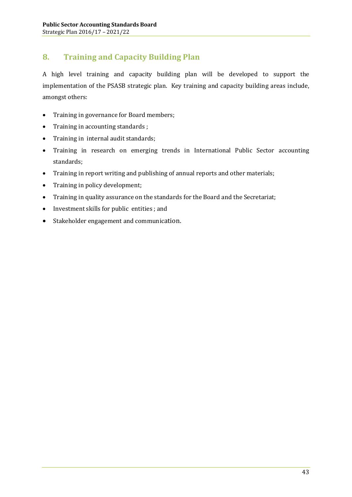# **8. Training and Capacity Building Plan**

A high level training and capacity building plan will be developed to support the implementation of the PSASB strategic plan. Key training and capacity building areas include, amongst others:

- · Training in governance for Board members;
- · Training in accounting standards ;
- · Training in internal audit standards;
- · Training in research on emerging trends in International Public Sector accounting standards;
- · Training in report writing and publishing of annual reports and other materials;
- Training in policy development;
- · Training in quality assurance on the standards for the Board and the Secretariat;
- · Investment skills for public entities ; and
- · Stakeholder engagement and communication.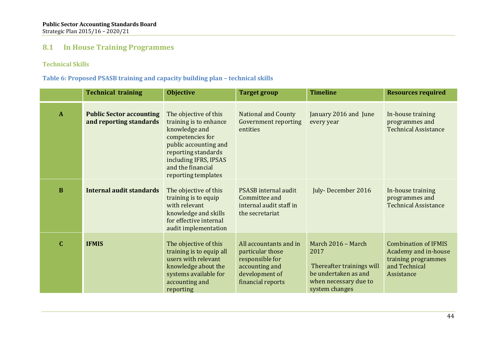## **8.1 In House Training Programmes**

### **Technical Skills**

### **Table 6: Proposed PSASB training and capacity building plan – technical skills**

|              | <b>Technical training</b>                                  | <b>Objective</b>                                                                                                                                                                                          | <b>Target group</b>                                                                                                    | <b>Timeline</b>                                                                                                            | <b>Resources required</b>                                                                                 |
|--------------|------------------------------------------------------------|-----------------------------------------------------------------------------------------------------------------------------------------------------------------------------------------------------------|------------------------------------------------------------------------------------------------------------------------|----------------------------------------------------------------------------------------------------------------------------|-----------------------------------------------------------------------------------------------------------|
| $\mathbf{A}$ | <b>Public Sector accounting</b><br>and reporting standards | The objective of this<br>training is to enhance<br>knowledge and<br>competencies for<br>public accounting and<br>reporting standards<br>including IFRS, IPSAS<br>and the financial<br>reporting templates | <b>National and County</b><br><b>Government reporting</b><br>entities                                                  | January 2016 and June<br>every year                                                                                        | In-house training<br>programmes and<br><b>Technical Assistance</b>                                        |
| $\bf{B}$     | <b>Internal audit standards</b>                            | The objective of this<br>training is to equip<br>with relevant<br>knowledge and skills<br>for effective internal<br>audit implementation                                                                  | PSASB internal audit<br>Committee and<br>internal audit staff in<br>the secretariat                                    | July-December 2016                                                                                                         | In-house training<br>programmes and<br><b>Technical Assistance</b>                                        |
| $\mathbf{C}$ | <b>IFMIS</b>                                               | The objective of this<br>training is to equip all<br>users with relevant<br>knowledge about the<br>systems available for<br>accounting and<br>reporting                                                   | All accountants and in<br>particular those<br>responsible for<br>accounting and<br>development of<br>financial reports | March 2016 - March<br>2017<br>Thereafter trainings will<br>be undertaken as and<br>when necessary due to<br>system changes | <b>Combination of IFMIS</b><br>Academy and in-house<br>training programmes<br>and Technical<br>Assistance |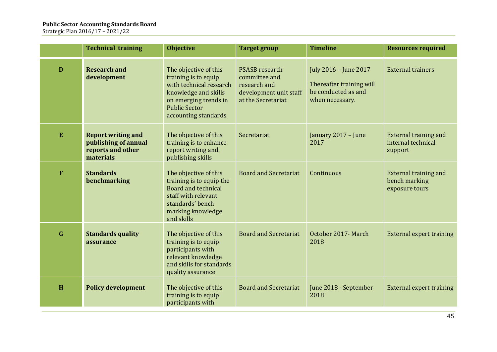|                                                                                                                                                                                                   | <b>Technical training</b>                                                           | <b>Objective</b>                                                                                                                                                          | <b>Target group</b>                                                                                    | <b>Timeline</b>                                                                             | <b>Resources required</b>                                       |
|---------------------------------------------------------------------------------------------------------------------------------------------------------------------------------------------------|-------------------------------------------------------------------------------------|---------------------------------------------------------------------------------------------------------------------------------------------------------------------------|--------------------------------------------------------------------------------------------------------|---------------------------------------------------------------------------------------------|-----------------------------------------------------------------|
| D                                                                                                                                                                                                 | <b>Research and</b><br>development                                                  | The objective of this<br>training is to equip<br>with technical research<br>knowledge and skills<br>on emerging trends in<br><b>Public Sector</b><br>accounting standards | <b>PSASB</b> research<br>committee and<br>research and<br>development unit staff<br>at the Secretariat | July 2016 - June 2017<br>Thereafter training will<br>be conducted as and<br>when necessary. | <b>External trainers</b>                                        |
| ${\bf E}$                                                                                                                                                                                         | <b>Report writing and</b><br>publishing of annual<br>reports and other<br>materials | The objective of this<br>training is to enhance<br>report writing and<br>publishing skills                                                                                | Secretariat                                                                                            | January 2017 - June<br>2017                                                                 | <b>External training and</b><br>internal technical<br>support   |
| F                                                                                                                                                                                                 | <b>Standards</b><br>benchmarking                                                    | The objective of this<br>training is to equip the<br>Board and technical<br>staff with relevant<br>standards' bench<br>marking knowledge<br>and skills                    | <b>Board and Secretariat</b>                                                                           | Continuous                                                                                  | <b>External training and</b><br>bench marking<br>exposure tours |
| $\mathbf G$<br>The objective of this<br><b>Standards quality</b><br>training is to equip<br>assurance<br>participants with<br>relevant knowledge<br>and skills for standards<br>quality assurance |                                                                                     | <b>Board and Secretariat</b>                                                                                                                                              | October 2017- March<br>2018                                                                            | <b>External expert training</b>                                                             |                                                                 |
| H                                                                                                                                                                                                 | <b>Policy development</b>                                                           | The objective of this<br>training is to equip<br>participants with                                                                                                        | <b>Board and Secretariat</b>                                                                           | June 2018 - September<br>2018                                                               | <b>External expert training</b>                                 |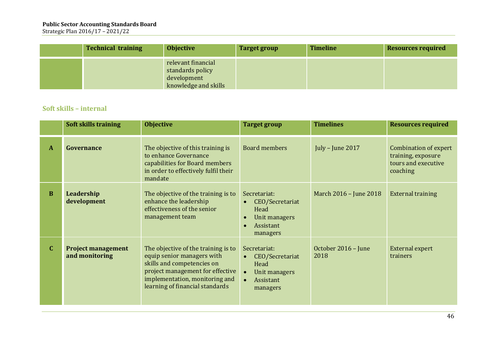Strategic Plan 2016/17 – 2021/22

| <b>Technical training</b> | <b>Objective</b>                                                              | <b>Target group</b> | <b>Timeline</b> | <b>Resources required</b> |
|---------------------------|-------------------------------------------------------------------------------|---------------------|-----------------|---------------------------|
|                           | relevant financial<br>standards policy<br>development<br>knowledge and skills |                     |                 |                           |

## **Soft skills – internal**

|              | <b>Soft skills training</b>                 | <b>Objective</b>                                                                                                                                                                                         | <b>Target group</b>                                                                                         | <b>Timelines</b>            | <b>Resources required</b>                                                             |
|--------------|---------------------------------------------|----------------------------------------------------------------------------------------------------------------------------------------------------------------------------------------------------------|-------------------------------------------------------------------------------------------------------------|-----------------------------|---------------------------------------------------------------------------------------|
| $\mathbf{A}$ | Governance                                  | The objective of this training is<br>to enhance Governance<br>capabilities for Board members<br>in order to effectively fulfil their<br>mandate                                                          | <b>Board members</b>                                                                                        | July - June 2017            | <b>Combination of expert</b><br>training, exposure<br>tours and executive<br>coaching |
| $\bf{B}$     | Leadership<br>development                   | The objective of the training is to<br>enhance the leadership<br>effectiveness of the senior<br>management team                                                                                          | Secretariat:<br>CEO/Secretariat<br>Head<br>Unit managers<br>$\bullet$<br>Assistant<br>$\bullet$<br>managers | March 2016 - June 2018      | <b>External training</b>                                                              |
| $\mathbf C$  | <b>Project management</b><br>and monitoring | The objective of the training is to<br>equip senior managers with<br>skills and competencies on<br>project management for effective<br>implementation, monitoring and<br>learning of financial standards | Secretariat:<br>CEO/Secretariat<br>$\bullet$<br>Head<br>Unit managers<br>Assistant<br>managers              | October 2016 - June<br>2018 | <b>External expert</b><br>trainers                                                    |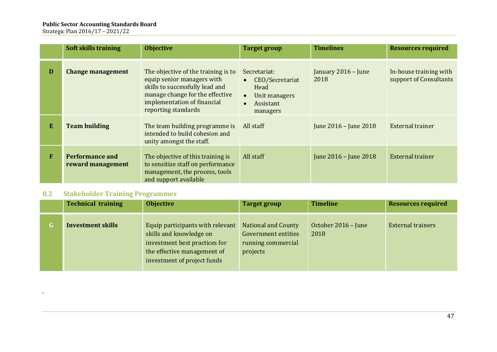Strategic Plan 2016/17 – 2021/22

|   | <b>Soft skills training</b>                 | <b>Objective</b>                                                                                                                                                                              | <b>Target group</b>                                                                                         | <b>Timelines</b>            | <b>Resources required</b>                        |
|---|---------------------------------------------|-----------------------------------------------------------------------------------------------------------------------------------------------------------------------------------------------|-------------------------------------------------------------------------------------------------------------|-----------------------------|--------------------------------------------------|
| D | <b>Change management</b>                    | The objective of the training is to<br>equip senior managers with<br>skills to successfully lead and<br>manage change for the effective<br>implementation of financial<br>reporting standards | Secretariat:<br>CEO/Secretariat<br>$\bullet$<br>Head<br>Unit managers<br>$\bullet$<br>Assistant<br>managers | January 2016 - June<br>2018 | In-house training with<br>support of Consultants |
| E | <b>Team building</b>                        | The team building programme is<br>intended to build cohesion and<br>unity amongst the staff.                                                                                                  | All staff                                                                                                   | June 2016 - June 2018       | External trainer                                 |
| F | <b>Performance and</b><br>reward management | The objective of this training is<br>to sensitize staff on performance<br>management, the process, tools<br>and support available                                                             | All staff                                                                                                   | June 2016 - June 2018       | <b>External trainer</b>                          |

### **8.2 Stakeholder Training Programmes**

.

| <b>Technical training</b> | <b>Objective</b>                                                                                                                                           | <b>Target group</b>                                                                 | <b>Timeline</b>             | <b>Resources required</b> |
|---------------------------|------------------------------------------------------------------------------------------------------------------------------------------------------------|-------------------------------------------------------------------------------------|-----------------------------|---------------------------|
| <b>Investment skills</b>  | Equip participants with relevant<br>skills and knowledge on<br>investment best practices for<br>the effective management of<br>investment of project funds | National and County<br><b>Government entities</b><br>running commercial<br>projects | October 2016 - June<br>2018 | <b>External trainers</b>  |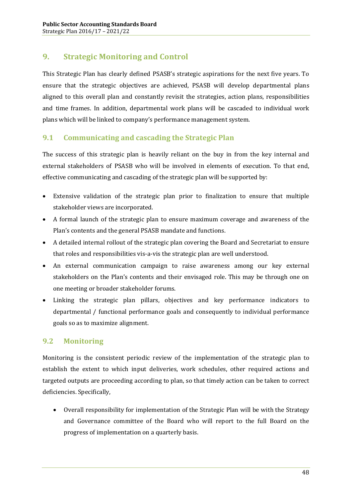# **9. Strategic Monitoring and Control**

This Strategic Plan has clearly defined PSASB's strategic aspirations for the next five years. To ensure that the strategic objectives are achieved, PSASB will develop departmental plans aligned to this overall plan and constantly revisit the strategies, action plans, responsibilities and time frames. In addition, departmental work plans will be cascaded to individual work plans which will be linked to company's performance management system.

## **9.1 Communicating and cascading the Strategic Plan**

The success of this strategic plan is heavily reliant on the buy in from the key internal and external stakeholders of PSASB who will be involved in elements of execution. To that end, effective communicating and cascading of the strategic plan will be supported by:

- · Extensive validation of the strategic plan prior to finalization to ensure that multiple stakeholder views are incorporated.
- · A formal launch of the strategic plan to ensure maximum coverage and awareness of the Plan's contents and the general PSASB mandate and functions.
- · A detailed internal rollout of the strategic plan covering the Board and Secretariat to ensure that roles and responsibilities vis-a-vis the strategic plan are well understood.
- · An external communication campaign to raise awareness among our key external stakeholders on the Plan's contents and their envisaged role. This may be through one on one meeting or broader stakeholder forums.
- · Linking the strategic plan pillars, objectives and key performance indicators to departmental / functional performance goals and consequently to individual performance goals so as to maximize alignment.

# **9.2 Monitoring**

Monitoring is the consistent periodic review of the implementation of the strategic plan to establish the extent to which input deliveries, work schedules, other required actions and targeted outputs are proceeding according to plan, so that timely action can be taken to correct deficiencies. Specifically,

· Overall responsibility for implementation of the Strategic Plan will be with the Strategy and Governance committee of the Board who will report to the full Board on the progress of implementation on a quarterly basis.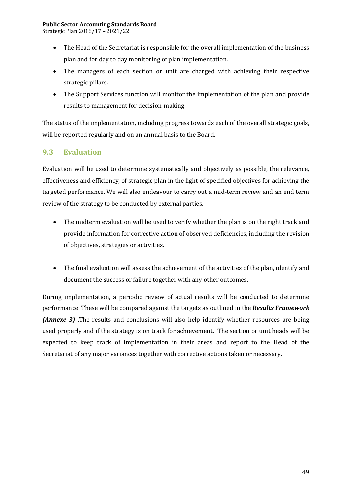- The Head of the Secretariat is responsible for the overall implementation of the business plan and for day to day monitoring of plan implementation.
- · The managers of each section or unit are charged with achieving their respective strategic pillars.
- The Support Services function will monitor the implementation of the plan and provide results to management for decision-making.

The status of the implementation, including progress towards each of the overall strategic goals, will be reported regularly and on an annual basis to the Board.

# **9.3 Evaluation**

Evaluation will be used to determine systematically and objectively as possible, the relevance, effectiveness and efficiency, of strategic plan in the light of specified objectives for achieving the targeted performance. We will also endeavour to carry out a mid-term review and an end term review of the strategy to be conducted by external parties.

- · The midterm evaluation will be used to verify whether the plan is on the right track and provide information for corrective action of observed deficiencies, including the revision of objectives, strategies or activities.
- · The final evaluation will assess the achievement of the activities of the plan, identify and document the success or failure together with any other outcomes.

During implementation, a periodic review of actual results will be conducted to determine performance. These will be compared against the targets as outlined in the *Results Framework (Annexe 3)* The results and conclusions will also help identify whether resources are being used properly and if the strategy is on track for achievement. The section or unit heads will be expected to keep track of implementation in their areas and report to the Head of the Secretariat of any major variances together with corrective actions taken or necessary.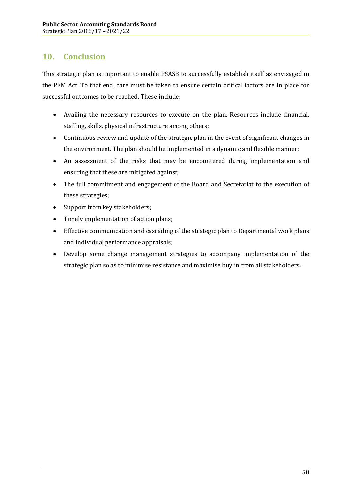# **10. Conclusion**

This strategic plan is important to enable PSASB to successfully establish itself as envisaged in the PFM Act. To that end, care must be taken to ensure certain critical factors are in place for successful outcomes to be reached. These include:

- · Availing the necessary resources to execute on the plan. Resources include financial, staffing, skills, physical infrastructure among others;
- · Continuous review and update of the strategic plan in the event of significant changes in the environment. The plan should be implemented in a dynamic and flexible manner;
- · An assessment of the risks that may be encountered during implementation and ensuring that these are mitigated against;
- · The full commitment and engagement of the Board and Secretariat to the execution of these strategies;
- Support from key stakeholders;
- · Timely implementation of action plans;
- · Effective communication and cascading of the strategic plan to Departmental work plans and individual performance appraisals;
- · Develop some change management strategies to accompany implementation of the strategic plan so as to minimise resistance and maximise buy in from all stakeholders.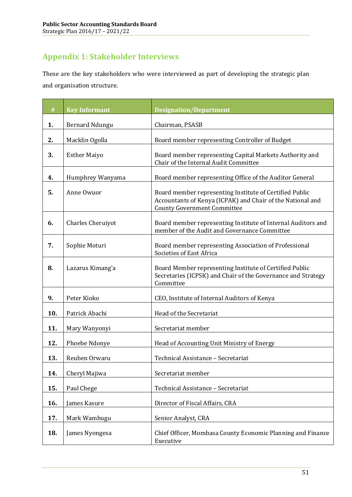# **Appendix 1: Stakeholder Interviews**

These are the key stakeholders who were interviewed as part of developing the strategic plan and organisation structure.

| $\#$ | <b>Key Informant</b>     | <b>Designation/Department</b>                                                                                                                               |
|------|--------------------------|-------------------------------------------------------------------------------------------------------------------------------------------------------------|
| 1.   | <b>Bernard Ndungu</b>    | Chairman, PSASB                                                                                                                                             |
| 2.   | Macklin Ogolla           | Board member representing Controller of Budget                                                                                                              |
| 3.   | <b>Esther Maiyo</b>      | Board member representing Capital Markets Authority and<br>Chair of the Internal Audit Committee                                                            |
| 4.   | Humphrey Wanyama         | Board member representing Office of the Auditor General                                                                                                     |
| 5.   | Anne Owuor               | Board member representing Institute of Certified Public<br>Accountants of Kenya (ICPAK) and Chair of the National and<br><b>County Government Committee</b> |
| 6.   | <b>Charles Cheruiyot</b> | Board member representing Institute of Internal Auditors and<br>member of the Audit and Governance Committee                                                |
| 7.   | Sophie Moturi            | Board member representing Association of Professional<br>Societies of East Africa                                                                           |
| 8.   | Lazarus Kimang'a         | Board Member representing Institute of Certified Public<br>Secretaries (ICPSK) and Chair of the Governance and Strategy<br>Committee                        |
| 9.   | Peter Kioko              | CEO, Institute of Internal Auditors of Kenya                                                                                                                |
| 10.  | Patrick Abachi           | Head of the Secretariat                                                                                                                                     |
| 11.  | Mary Wanyonyi            | Secretariat member                                                                                                                                          |
| 12.  | Phoebe Ndonye            | Head of Accounting Unit Ministry of Energy                                                                                                                  |
| 13.  | Reuben Orwaru            | Technical Assistance - Secretariat                                                                                                                          |
| 14.  | Cheryl Majiwa            | Secretariat member                                                                                                                                          |
| 15.  | Paul Chege               | Technical Assistance - Secretariat                                                                                                                          |
| 16.  | James Kasure             | Director of Fiscal Affairs, CRA                                                                                                                             |
| 17.  | Mark Wambugu             | Senior Analyst, CRA                                                                                                                                         |
| 18.  | James Nyongesa           | Chief Officer, Mombasa County Economic Planning and Finance<br>Executive                                                                                    |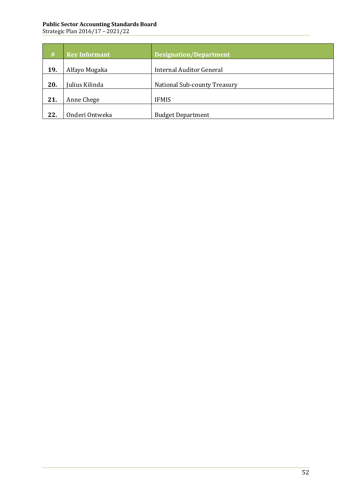| #   | <b>Key Informant</b> | <b>Designation/Department</b>       |
|-----|----------------------|-------------------------------------|
| 19. | Alfayo Mogaka        | <b>Internal Auditor General</b>     |
| 20. | Julius Kilinda       | <b>National Sub-county Treasury</b> |
| 21. | Anne Chege           | <b>IFMIS</b>                        |
| 22. | Onderi Ontweka       | <b>Budget Department</b>            |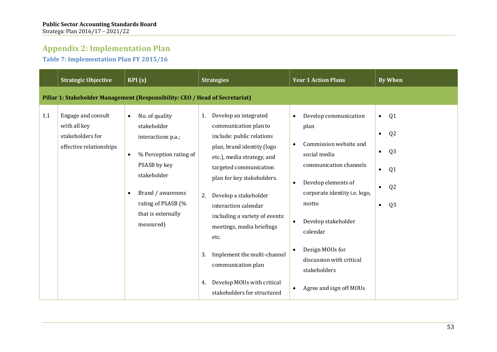# **Appendix 2: Implementation Plan**

**Table 7: Implementation Plan FY 2015/16**

|     | <b>Strategic Objective</b>                                                        | KPI(S)                                                                                                                                                                                                  | <b>Strategies</b>                                                                                                                                                                                                                                                                                                                                                                                                                                                 | <b>Year 1 Action Plans</b>                                                                                                                                                                                                                                                                                                                          | <b>By When</b>                                                                                                                                                             |  |  |  |
|-----|-----------------------------------------------------------------------------------|---------------------------------------------------------------------------------------------------------------------------------------------------------------------------------------------------------|-------------------------------------------------------------------------------------------------------------------------------------------------------------------------------------------------------------------------------------------------------------------------------------------------------------------------------------------------------------------------------------------------------------------------------------------------------------------|-----------------------------------------------------------------------------------------------------------------------------------------------------------------------------------------------------------------------------------------------------------------------------------------------------------------------------------------------------|----------------------------------------------------------------------------------------------------------------------------------------------------------------------------|--|--|--|
|     | Pillar 1: Stakeholder Management (Responsibility: CEO / Head of Secretariat)      |                                                                                                                                                                                                         |                                                                                                                                                                                                                                                                                                                                                                                                                                                                   |                                                                                                                                                                                                                                                                                                                                                     |                                                                                                                                                                            |  |  |  |
| 1.1 | Engage and consult<br>with all key<br>stakeholders for<br>effective relationships | No. of quality<br>stakeholder<br>interactions p.a.;<br>% Perception rating of<br>$\bullet$<br>PSASB by key<br>stakeholder<br>Brand / awareness<br>rating of PSASB (%<br>that is externally<br>measured) | Develop an integrated<br>1.<br>communication plan to<br>include: public relations<br>plan, brand identity (logo<br>etc.), media strategy, and<br>targeted communication<br>plan for key stakeholders.<br>Develop a stakeholder<br>2.<br>interaction calendar<br>including a variety of events:<br>meetings, media briefings<br>etc.<br>Implement the multi-channel<br>3.<br>communication plan<br>Develop MOUs with critical<br>4.<br>stakeholders for structured | Develop communication<br>$\bullet$<br>plan<br>Commission website and<br>$\bullet$<br>social media<br>communication channels<br>Develop elements of<br>$\bullet$<br>corporate identity i.e. logo,<br>motto<br>Develop stakeholder<br>calendar<br>Design MOUs for<br>discussion with critical<br>stakeholders<br>Agree and sign off MOUs<br>$\bullet$ | Q1<br>$\bullet$<br>Q <sub>2</sub><br>$\bullet$<br>Q <sub>3</sub><br>$\bullet$<br>Q <sub>1</sub><br>$\bullet$<br>Q <sub>2</sub><br>$\bullet$<br>Q <sub>3</sub><br>$\bullet$ |  |  |  |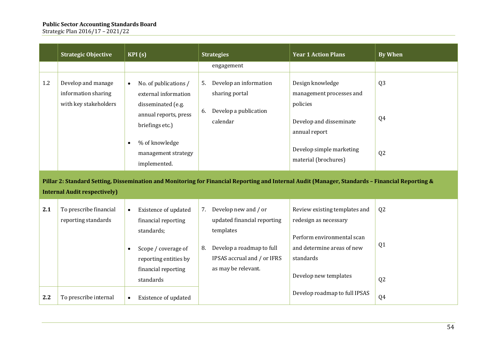|     | <b>Strategic Objective</b>                    | KPI(s)                                                                 | <b>Strategies</b>                                                                                                                               | <b>Year 1 Action Plans</b>                                            | <b>By When</b> |
|-----|-----------------------------------------------|------------------------------------------------------------------------|-------------------------------------------------------------------------------------------------------------------------------------------------|-----------------------------------------------------------------------|----------------|
|     |                                               |                                                                        | engagement                                                                                                                                      |                                                                       |                |
| 1.2 | Develop and manage<br>information sharing     | No. of publications /<br>$\bullet$<br>external information             | Develop an information<br>5.<br>sharing portal                                                                                                  | Design knowledge<br>management processes and                          | Q <sub>3</sub> |
|     | with key stakeholders                         | disseminated (e.g.<br>annual reports, press<br>briefings etc.)         | Develop a publication<br>6.<br>calendar                                                                                                         | policies<br>Develop and disseminate<br>annual report                  | Q4             |
|     |                                               | % of knowledge<br>$\bullet$<br>management strategy<br>implemented.     |                                                                                                                                                 | Develop simple marketing<br>material (brochures)                      | Q2             |
|     |                                               |                                                                        | Pillar 2: Standard Setting, Dissemination and Monitoring for Financial Reporting and Internal Audit (Manager, Standards - Financial Reporting & |                                                                       |                |
|     | <b>Internal Audit respectively)</b>           |                                                                        |                                                                                                                                                 |                                                                       |                |
| 2.1 | To prescribe financial<br>reporting standards | Existence of updated<br>$\bullet$<br>financial reporting<br>standards; | Develop new and / or<br>7.<br>updated financial reporting<br>templates                                                                          | Review existing templates and<br>redesign as necessary                | Q2             |
|     |                                               | Scope / coverage of<br>reporting entities by                           | Develop a roadmap to full<br>8.<br>IPSAS accrual and / or IFRS                                                                                  | Perform environmental scan<br>and determine areas of new<br>standards | Q <sub>1</sub> |
|     |                                               | financial reporting<br>standards                                       | as may be relevant.                                                                                                                             | Develop new templates                                                 | Q <sub>2</sub> |
| 2.2 | To prescribe internal                         | Existence of updated<br>$\bullet$                                      |                                                                                                                                                 | Develop roadmap to full IPSAS                                         | Q4             |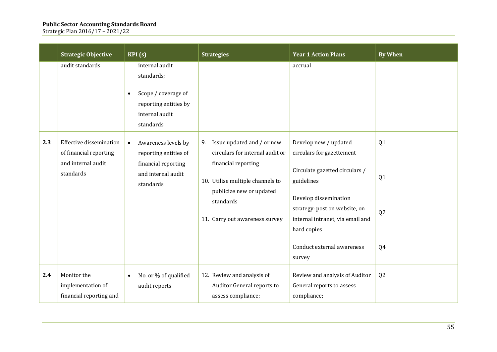|     | <b>Strategic Objective</b>                                                           | KPI(s)                                                                                                                   | <b>Strategies</b>                                                                                                                                                                                         | <b>Year 1 Action Plans</b>                                                                                                                                                                                                                    | <b>By When</b>                   |
|-----|--------------------------------------------------------------------------------------|--------------------------------------------------------------------------------------------------------------------------|-----------------------------------------------------------------------------------------------------------------------------------------------------------------------------------------------------------|-----------------------------------------------------------------------------------------------------------------------------------------------------------------------------------------------------------------------------------------------|----------------------------------|
|     | audit standards                                                                      | internal audit<br>standards;<br>Scope / coverage of<br>$\bullet$<br>reporting entities by<br>internal audit<br>standards |                                                                                                                                                                                                           | accrual                                                                                                                                                                                                                                       |                                  |
| 2.3 | Effective dissemination<br>of financial reporting<br>and internal audit<br>standards | Awareness levels by<br>$\bullet$<br>reporting entities of<br>financial reporting<br>and internal audit<br>standards      | Issue updated and / or new<br>9.<br>circulars for internal audit or<br>financial reporting<br>10. Utilise multiple channels to<br>publicize new or updated<br>standards<br>11. Carry out awareness survey | Develop new / updated<br>circulars for gazettement<br>Circulate gazetted circulars /<br>guidelines<br>Develop dissemination<br>strategy: post on website, on<br>internal intranet, via email and<br>hard copies<br>Conduct external awareness | Q1<br>Q1<br>Q <sub>2</sub><br>Q4 |
|     |                                                                                      |                                                                                                                          |                                                                                                                                                                                                           | survey                                                                                                                                                                                                                                        |                                  |
| 2.4 | Monitor the<br>implementation of<br>financial reporting and                          | No. or % of qualified<br>audit reports                                                                                   | 12. Review and analysis of<br>Auditor General reports to<br>assess compliance;                                                                                                                            | Review and analysis of Auditor<br>General reports to assess<br>compliance;                                                                                                                                                                    | Q <sub>2</sub>                   |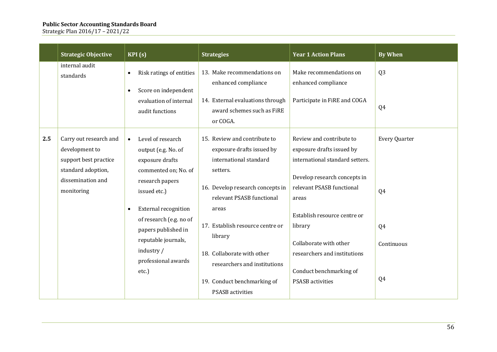|     | <b>Strategic Objective</b>                                                                                                 | $\overline{\text{KPI}}$ (s)                                                                                                                                                                                                                                                               | <b>Strategies</b>                                                                                                                                                                                                                                                                                                                                | <b>Year 1 Action Plans</b>                                                                                                                                                                                                                                                                                                | <b>By When</b>                                |
|-----|----------------------------------------------------------------------------------------------------------------------------|-------------------------------------------------------------------------------------------------------------------------------------------------------------------------------------------------------------------------------------------------------------------------------------------|--------------------------------------------------------------------------------------------------------------------------------------------------------------------------------------------------------------------------------------------------------------------------------------------------------------------------------------------------|---------------------------------------------------------------------------------------------------------------------------------------------------------------------------------------------------------------------------------------------------------------------------------------------------------------------------|-----------------------------------------------|
|     | internal audit<br>standards                                                                                                | Risk ratings of entities<br>$\bullet$<br>Score on independent<br>$\bullet$<br>evaluation of internal<br>audit functions                                                                                                                                                                   | 13. Make recommendations on<br>enhanced compliance<br>14. External evaluations through<br>award schemes such as FiRE<br>or COGA.                                                                                                                                                                                                                 | Make recommendations on<br>enhanced compliance<br>Participate in FiRE and COGA                                                                                                                                                                                                                                            | Q <sub>3</sub><br>Q4                          |
| 2.5 | Carry out research and<br>development to<br>support best practice<br>standard adoption,<br>dissemination and<br>monitoring | Level of research<br>$\bullet$<br>output (e.g. No. of<br>exposure drafts<br>commented on; No. of<br>research papers<br>issued etc.)<br><b>External recognition</b><br>of research (e.g. no of<br>papers published in<br>reputable journals,<br>industry /<br>professional awards<br>etc.) | 15. Review and contribute to<br>exposure drafts issued by<br>international standard<br>setters.<br>16. Develop research concepts in<br>relevant PSASB functional<br>areas<br>17. Establish resource centre or<br>library<br>18. Collaborate with other<br>researchers and institutions<br>19. Conduct benchmarking of<br><b>PSASB</b> activities | Review and contribute to<br>exposure drafts issued by<br>international standard setters.<br>Develop research concepts in<br>relevant PSASB functional<br>areas<br>Establish resource centre or<br>library<br>Collaborate with other<br>researchers and institutions<br>Conduct benchmarking of<br><b>PSASB</b> activities | Every Quarter<br>Q4<br>Q4<br>Continuous<br>Q4 |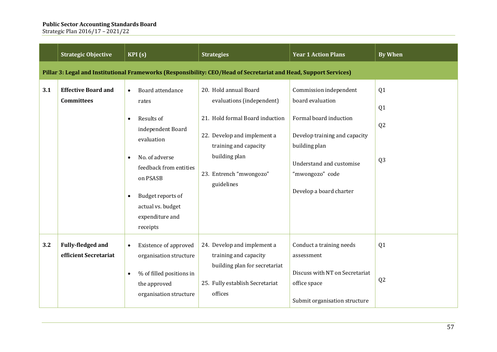|     | <b>Strategic Objective</b>                                                                                        | KPI(s)                                                                                                                                                                                                                                | <b>Strategies</b>                                                                                                                                                                                       | <b>Year 1 Action Plans</b>                                                                                                                                                                       | <b>By When</b>                                                       |  |  |
|-----|-------------------------------------------------------------------------------------------------------------------|---------------------------------------------------------------------------------------------------------------------------------------------------------------------------------------------------------------------------------------|---------------------------------------------------------------------------------------------------------------------------------------------------------------------------------------------------------|--------------------------------------------------------------------------------------------------------------------------------------------------------------------------------------------------|----------------------------------------------------------------------|--|--|
|     | Pillar 3: Legal and Institutional Frameworks (Responsibility: CEO/Head of Secretariat and Head, Support Services) |                                                                                                                                                                                                                                       |                                                                                                                                                                                                         |                                                                                                                                                                                                  |                                                                      |  |  |
| 3.1 | <b>Effective Board and</b><br><b>Committees</b>                                                                   | Board attendance<br>$\bullet$<br>rates<br>Results of<br>$\bullet$<br>independent Board<br>evaluation<br>No. of adverse<br>feedback from entities<br>on PSASB<br>Budget reports of<br>actual vs. budget<br>expenditure and<br>receipts | 20. Hold annual Board<br>evaluations (independent)<br>21. Hold formal Board induction<br>22. Develop and implement a<br>training and capacity<br>building plan<br>23. Entrench "mwongozo"<br>guidelines | Commission independent<br>board evaluation<br>Formal board induction<br>Develop training and capacity<br>building plan<br>Understand and customise<br>"mwongozo" code<br>Develop a board charter | Q <sub>1</sub><br>Q <sub>1</sub><br>Q <sub>2</sub><br>Q <sub>3</sub> |  |  |
| 3.2 | Fully-fledged and<br>efficient Secretariat                                                                        | Existence of approved<br>organisation structure<br>% of filled positions in<br>the approved<br>organisation structure                                                                                                                 | 24. Develop and implement a<br>training and capacity<br>building plan for secretariat<br>25. Fully establish Secretariat<br>offices                                                                     | Conduct a training needs<br>assessment<br>Discuss with NT on Secretariat<br>office space<br>Submit organisation structure                                                                        | Q <sub>1</sub><br>Q <sub>2</sub>                                     |  |  |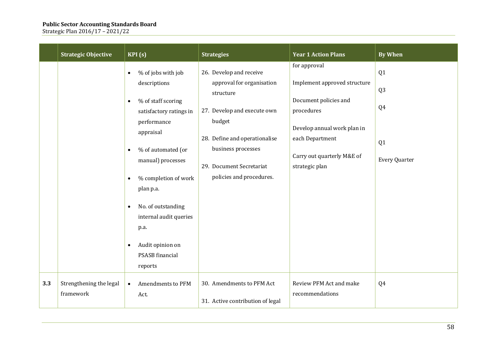|     | <b>Strategic Objective</b>           | KPI(S)                                                                                                                                                                                                                                                                                                                                                                                  | <b>Strategies</b>                                                                                                                                                                                                         | <b>Year 1 Action Plans</b>                                                                                                                                                            | <b>By When</b>                                                       |
|-----|--------------------------------------|-----------------------------------------------------------------------------------------------------------------------------------------------------------------------------------------------------------------------------------------------------------------------------------------------------------------------------------------------------------------------------------------|---------------------------------------------------------------------------------------------------------------------------------------------------------------------------------------------------------------------------|---------------------------------------------------------------------------------------------------------------------------------------------------------------------------------------|----------------------------------------------------------------------|
|     |                                      | % of jobs with job<br>$\bullet$<br>descriptions<br>% of staff scoring<br>$\bullet$<br>satisfactory ratings in<br>performance<br>appraisal<br>% of automated (or<br>$\bullet$<br>manual) processes<br>% completion of work<br>$\bullet$<br>plan p.a.<br>No. of outstanding<br>$\bullet$<br>internal audit queries<br>p.a.<br>Audit opinion on<br>$\bullet$<br>PSASB financial<br>reports | 26. Develop and receive<br>approval for organisation<br>structure<br>27. Develop and execute own<br>budget<br>28. Define and operationalise<br>business processes<br>29. Document Secretariat<br>policies and procedures. | for approval<br>Implement approved structure<br>Document policies and<br>procedures<br>Develop annual work plan in<br>each Department<br>Carry out quarterly M&E of<br>strategic plan | Q1<br>Q <sub>3</sub><br>Q4<br>Q <sub>1</sub><br><b>Every Quarter</b> |
| 3.3 | Strengthening the legal<br>framework | Amendments to PFM<br>$\bullet$<br>Act.                                                                                                                                                                                                                                                                                                                                                  | 30. Amendments to PFM Act<br>31. Active contribution of legal                                                                                                                                                             | Review PFM Act and make<br>recommendations                                                                                                                                            | Q4                                                                   |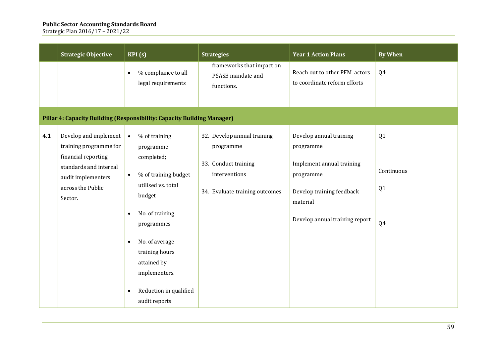|     | <b>Strategic Objective</b>                                                                                                                             | KPI(s)                                                                                                                                                                                                                                                                                       | <b>Strategies</b>                                                                                                   | <b>Year 1 Action Plans</b>                                                                                                                                | <b>By When</b>               |
|-----|--------------------------------------------------------------------------------------------------------------------------------------------------------|----------------------------------------------------------------------------------------------------------------------------------------------------------------------------------------------------------------------------------------------------------------------------------------------|---------------------------------------------------------------------------------------------------------------------|-----------------------------------------------------------------------------------------------------------------------------------------------------------|------------------------------|
|     |                                                                                                                                                        | % compliance to all<br>$\bullet$<br>legal requirements                                                                                                                                                                                                                                       | frameworks that impact on<br>PSASB mandate and<br>functions.                                                        | Reach out to other PFM actors<br>to coordinate reform efforts                                                                                             | Q4                           |
|     |                                                                                                                                                        | Pillar 4: Capacity Building (Responsibility: Capacity Building Manager)                                                                                                                                                                                                                      |                                                                                                                     |                                                                                                                                                           |                              |
| 4.1 | Develop and implement<br>training programme for<br>financial reporting<br>standards and internal<br>audit implementers<br>across the Public<br>Sector. | % of training<br>$\bullet$<br>programme<br>completed;<br>% of training budget<br>$\bullet$<br>utilised vs. total<br>budget<br>No. of training<br>programmes<br>No. of average<br>$\bullet$<br>training hours<br>attained by<br>implementers.<br>Reduction in qualified<br>٠<br>audit reports | 32. Develop annual training<br>programme<br>33. Conduct training<br>interventions<br>34. Evaluate training outcomes | Develop annual training<br>programme<br>Implement annual training<br>programme<br>Develop training feedback<br>material<br>Develop annual training report | Q1<br>Continuous<br>Q1<br>Q4 |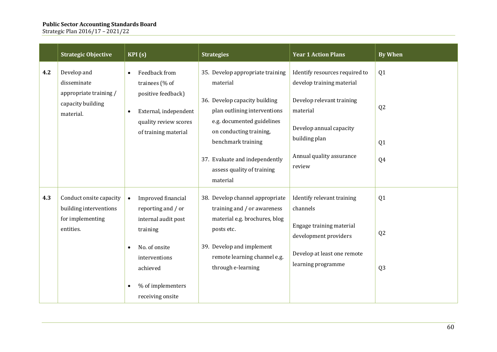|     | <b>Strategic Objective</b>                           | KPI(s)                                                                            | <b>Strategies</b>                                                                           | <b>Year 1 Action Plans</b>                                  | <b>By When</b> |
|-----|------------------------------------------------------|-----------------------------------------------------------------------------------|---------------------------------------------------------------------------------------------|-------------------------------------------------------------|----------------|
| 4.2 | Develop and<br>disseminate<br>appropriate training / | Feedback from<br>$\bullet$<br>trainees (% of                                      | 35. Develop appropriate training<br>material                                                | Identify resources required to<br>develop training material | Q <sub>1</sub> |
|     | capacity building<br>material.                       | positive feedback)<br>External, independent<br>$\bullet$<br>quality review scores | 36. Develop capacity building<br>plan outlining interventions<br>e.g. documented guidelines | Develop relevant training<br>material                       | Q <sub>2</sub> |
|     |                                                      | of training material                                                              | on conducting training,<br>benchmark training                                               | Develop annual capacity<br>building plan                    | Q <sub>1</sub> |
|     |                                                      |                                                                                   | 37. Evaluate and independently<br>assess quality of training<br>material                    | Annual quality assurance<br>review                          | Q4             |
| 4.3 | Conduct onsite capacity<br>building interventions    | Improved financial<br>$\bullet$<br>reporting and / or                             | 38. Develop channel appropriate<br>training and / or awareness                              | Identify relevant training<br>channels                      | Q1             |
|     | for implementing<br>entities.                        | internal audit post<br>training                                                   | material e.g. brochures, blog<br>posts etc.                                                 | Engage training material<br>development providers           | Q <sub>2</sub> |
|     |                                                      | No. of onsite<br>interventions<br>achieved                                        | 39. Develop and implement<br>remote learning channel e.g.<br>through e-learning             | Develop at least one remote<br>learning programme           | Q <sub>3</sub> |
|     |                                                      | % of implementers<br>receiving onsite                                             |                                                                                             |                                                             |                |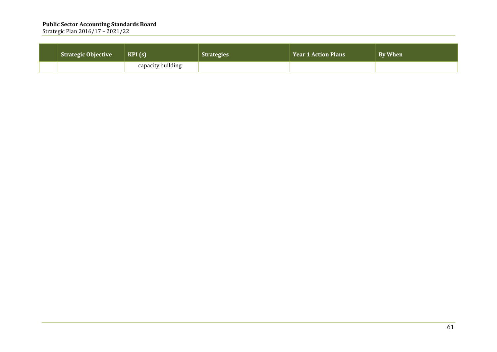| <b>Strategic Objective</b> | KPI(s)             | <b>Strategies</b> | <b>Year 1 Action Plans</b> | <b>By When</b> |
|----------------------------|--------------------|-------------------|----------------------------|----------------|
|                            | capacity building. |                   |                            |                |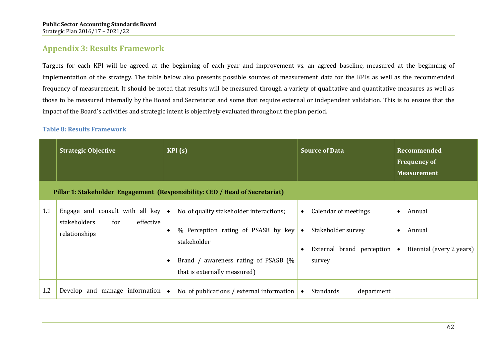# **Appendix 3: Results Framework**

Targets for each KPI will be agreed at the beginning of each year and improvement vs. an agreed baseline, measured at the beginning of implementation of the strategy. The table below also presents possible sources of measurement data for the KPIs as well as the recommended frequency of measurement. It should be noted that results will be measured through a variety of qualitative and quantitative measures as well as those to be measured internally by the Board and Secretariat and some that require external or independent validation. This is to ensure that the impact of the Board's activities and strategic intent is objectively evaluated throughout the plan period.

### **Table 8: Results Framework**

|     | <b>Strategic Objective</b>                                                           | KPI(s)                                                                                                                                                                                           | <b>Source of Data</b>                                                                                       | <b>Recommended</b><br><b>Frequency of</b><br><b>Measurement</b>                     |  |  |  |  |
|-----|--------------------------------------------------------------------------------------|--------------------------------------------------------------------------------------------------------------------------------------------------------------------------------------------------|-------------------------------------------------------------------------------------------------------------|-------------------------------------------------------------------------------------|--|--|--|--|
|     | Pillar 1: Stakeholder Engagement (Responsibility: CEO / Head of Secretariat)         |                                                                                                                                                                                                  |                                                                                                             |                                                                                     |  |  |  |  |
| 1.1 | Engage and consult with all key<br>effective<br>stakeholders<br>for<br>relationships | No. of quality stakeholder interactions;<br>$\bullet$<br>% Perception rating of PSASB by key<br>$\bullet$<br>stakeholder<br>Brand / awareness rating of PSASB (%<br>that is externally measured) | Calendar of meetings<br>$\bullet$<br>Stakeholder survey<br>$\bullet$<br>External brand perception<br>survey | Annual<br>$\bullet$<br>Annual<br>$\bullet$<br>Biennial (every 2 years)<br>$\bullet$ |  |  |  |  |
| 1.2 | Develop and manage information                                                       | No. of publications / external information<br>$\bullet$                                                                                                                                          | Standards<br>department<br>$\bullet$                                                                        |                                                                                     |  |  |  |  |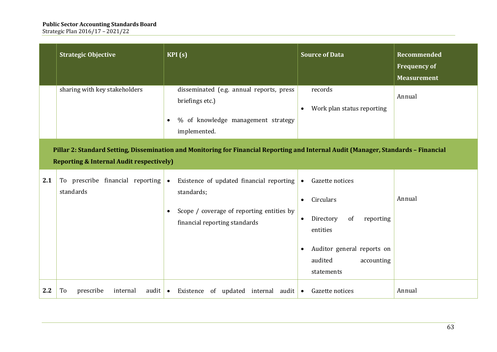|     | <b>Strategic Objective</b>                                                                                                                                                                 | KPI(s)                                                                                                                                            | <b>Source of Data</b>                                                                                                                                                                             | Recommended<br><b>Frequency of</b><br><b>Measurement</b> |  |  |
|-----|--------------------------------------------------------------------------------------------------------------------------------------------------------------------------------------------|---------------------------------------------------------------------------------------------------------------------------------------------------|---------------------------------------------------------------------------------------------------------------------------------------------------------------------------------------------------|----------------------------------------------------------|--|--|
|     | sharing with key stakeholders                                                                                                                                                              | disseminated (e.g. annual reports, press<br>briefings etc.)<br>% of knowledge management strategy<br>implemented.                                 | records<br>Work plan status reporting<br>$\bullet$                                                                                                                                                | Annual                                                   |  |  |
|     | Pillar 2: Standard Setting, Dissemination and Monitoring for Financial Reporting and Internal Audit (Manager, Standards - Financial<br><b>Reporting &amp; Internal Audit respectively)</b> |                                                                                                                                                   |                                                                                                                                                                                                   |                                                          |  |  |
| 2.1 | To prescribe financial reporting<br>standards                                                                                                                                              | Existence of updated financial reporting<br>$\bullet$<br>standards;<br>Scope / coverage of reporting entities by<br>financial reporting standards | Gazette notices<br>$\bullet$<br>Circulars<br>$\bullet$<br>Directory<br>of<br>reporting<br>$\bullet$<br>entities<br>Auditor general reports on<br>$\bullet$<br>audited<br>accounting<br>statements | Annual                                                   |  |  |
| 2.2 | prescribe<br>audit $\bullet$<br>To<br>internal                                                                                                                                             | Existence of updated internal audit $\bullet$                                                                                                     | Gazette notices                                                                                                                                                                                   | Annual                                                   |  |  |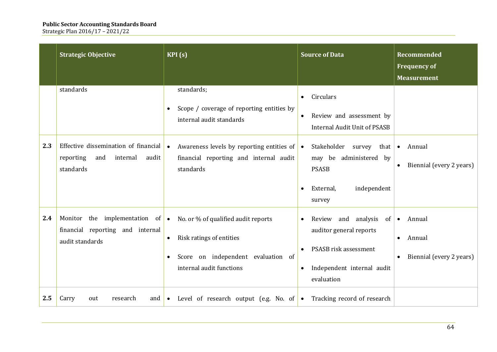|     | <b>Strategic Objective</b>                                                                     | KPI(s)                                                                                                                                         | <b>Source of Data</b>                                                                                                                  | <b>Recommended</b><br><b>Frequency of</b><br><b>Measurement</b>        |
|-----|------------------------------------------------------------------------------------------------|------------------------------------------------------------------------------------------------------------------------------------------------|----------------------------------------------------------------------------------------------------------------------------------------|------------------------------------------------------------------------|
|     | standards                                                                                      | standards;<br>Scope / coverage of reporting entities by<br>internal audit standards                                                            | Circulars<br>$\bullet$<br>Review and assessment by<br><b>Internal Audit Unit of PSASB</b>                                              |                                                                        |
| 2.3 | Effective dissemination of financial<br>reporting<br>and<br>internal<br>audit<br>standards     | Awareness levels by reporting entities of $\bullet$<br>$\bullet$<br>financial reporting and internal audit<br>standards                        | Stakeholder survey that<br>may be administered by<br><b>PSASB</b><br>independent<br>External,<br>survey                                | Annual<br>$\bullet$<br>Biennial (every 2 years)                        |
| 2.4 | Monitor the implementation of $\bullet$<br>financial reporting and internal<br>audit standards | No. or % of qualified audit reports<br>Risk ratings of entities<br>$\bullet$<br>Score on independent evaluation of<br>internal audit functions | Review and analysis<br>of<br>$\bullet$<br>auditor general reports<br>PSASB risk assessment<br>Independent internal audit<br>evaluation | Annual<br>$\bullet$<br>Annual<br>$\bullet$<br>Biennial (every 2 years) |
| 2.5 | Carry<br>out<br>research<br>and $\bullet$                                                      | Level of research output (e.g. No. of $\bullet$ Tracking record of research                                                                    |                                                                                                                                        |                                                                        |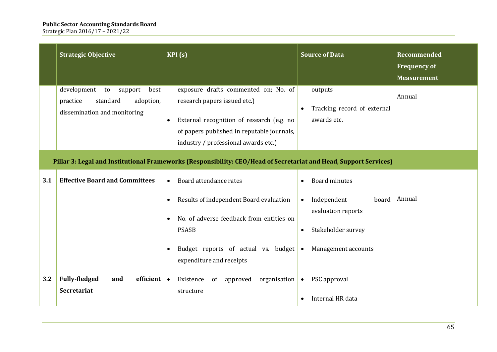|     | <b>Strategic Objective</b>                                                                                        | KPI(s)                                                                                                                                                                                                               | <b>Source of Data</b>                                                                                                          | <b>Recommended</b><br><b>Frequency of</b><br><b>Measurement</b> |  |  |
|-----|-------------------------------------------------------------------------------------------------------------------|----------------------------------------------------------------------------------------------------------------------------------------------------------------------------------------------------------------------|--------------------------------------------------------------------------------------------------------------------------------|-----------------------------------------------------------------|--|--|
|     | development<br>support<br>best<br>to<br>standard<br>adoption,<br>practice<br>dissemination and monitoring         | exposure drafts commented on; No. of<br>research papers issued etc.)<br>External recognition of research (e.g. no<br>$\bullet$<br>of papers published in reputable journals,<br>industry / professional awards etc.) | outputs<br>Tracking record of external<br>$\bullet$<br>awards etc.                                                             | Annual                                                          |  |  |
|     | Pillar 3: Legal and Institutional Frameworks (Responsibility: CEO/Head of Secretariat and Head, Support Services) |                                                                                                                                                                                                                      |                                                                                                                                |                                                                 |  |  |
| 3.1 | <b>Effective Board and Committees</b>                                                                             | Board attendance rates<br>$\bullet$                                                                                                                                                                                  | <b>Board minutes</b>                                                                                                           |                                                                 |  |  |
|     |                                                                                                                   | Results of independent Board evaluation<br>No. of adverse feedback from entities on<br><b>PSASB</b><br>Budget reports of actual vs. budget<br>$\bullet$<br>expenditure and receipts                                  | Independent<br>board<br>$\bullet$<br>evaluation reports<br>Stakeholder survey<br>$\bullet$<br>Management accounts<br>$\bullet$ | Annual                                                          |  |  |
| 3.2 | <b>Fully-fledged</b><br>efficient $\bullet$<br>and<br><b>Secretariat</b>                                          | organisation<br>Existence<br>of<br>approved<br>structure                                                                                                                                                             | PSC approval<br>$\bullet$<br>Internal HR data                                                                                  |                                                                 |  |  |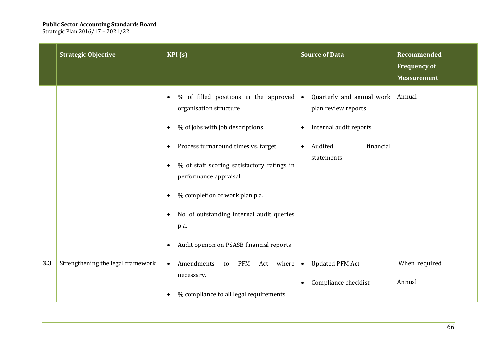|     | <b>Strategic Objective</b>        | KPI(s)                                                                                                                                                                                                                                                                                                                                                                                                                            | <b>Source of Data</b>                                                                                                                                   | <b>Recommended</b><br><b>Frequency of</b><br><b>Measurement</b> |
|-----|-----------------------------------|-----------------------------------------------------------------------------------------------------------------------------------------------------------------------------------------------------------------------------------------------------------------------------------------------------------------------------------------------------------------------------------------------------------------------------------|---------------------------------------------------------------------------------------------------------------------------------------------------------|-----------------------------------------------------------------|
|     |                                   | % of filled positions in the approved<br>organisation structure<br>% of jobs with job descriptions<br>$\bullet$<br>Process turnaround times vs. target<br>$\bullet$<br>% of staff scoring satisfactory ratings in<br>$\bullet$<br>performance appraisal<br>% completion of work plan p.a.<br>$\bullet$<br>No. of outstanding internal audit queries<br>$\bullet$<br>p.a.<br>Audit opinion on PSASB financial reports<br>$\bullet$ | Quarterly and annual work<br>$\bullet$<br>plan review reports<br>Internal audit reports<br>$\bullet$<br>Audited<br>financial<br>$\bullet$<br>statements | Annual                                                          |
| 3.3 | Strengthening the legal framework | Amendments<br><b>PFM</b><br>Act where<br>to<br>$\bullet$<br>necessary.<br>% compliance to all legal requirements<br>$\bullet$                                                                                                                                                                                                                                                                                                     | <b>Updated PFM Act</b><br>$\bullet$<br>Compliance checklist<br>$\bullet$                                                                                | When required<br>Annual                                         |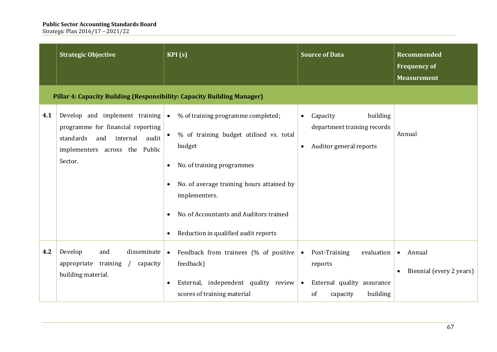|     | <b>Strategic Objective</b>                                                                                                                             | KPI(s)                                                                                                                                                                                                                                                                              | <b>Source of Data</b>                                                                                                        | Recommended<br><b>Frequency of</b><br><b>Measurement</b> |
|-----|--------------------------------------------------------------------------------------------------------------------------------------------------------|-------------------------------------------------------------------------------------------------------------------------------------------------------------------------------------------------------------------------------------------------------------------------------------|------------------------------------------------------------------------------------------------------------------------------|----------------------------------------------------------|
|     | Pillar 4: Capacity Building (Responsibility: Capacity Building Manager)                                                                                |                                                                                                                                                                                                                                                                                     |                                                                                                                              |                                                          |
| 4.1 | Develop and implement training<br>programme for financial reporting<br>standards<br>and internal<br>audit<br>implementers across the Public<br>Sector. | % of training programme completed;<br>$\bullet$<br>% of training budget utilised vs. total<br>budget<br>No. of training programmes<br>No. of average training hours attained by<br>implementers.<br>No. of Accountants and Auditors trained<br>Reduction in qualified audit reports | building<br>Capacity<br>$\bullet$<br>department training records<br>Auditor general reports<br>$\bullet$                     | Annual                                                   |
| 4.2 | Develop<br>disseminate<br>and<br>appropriate training<br>capacity<br>$\sqrt{2}$<br>building material.                                                  | Feedback from trainees (% of positive<br>$\bullet$<br>feedback)<br>External, independent quality review<br>scores of training material                                                                                                                                              | Post-Training<br>evaluation<br>$\bullet$<br>reports<br>External quality assurance<br>$\bullet$<br>building<br>of<br>capacity | Annual<br>$\bullet$<br>Biennial (every 2 years)          |